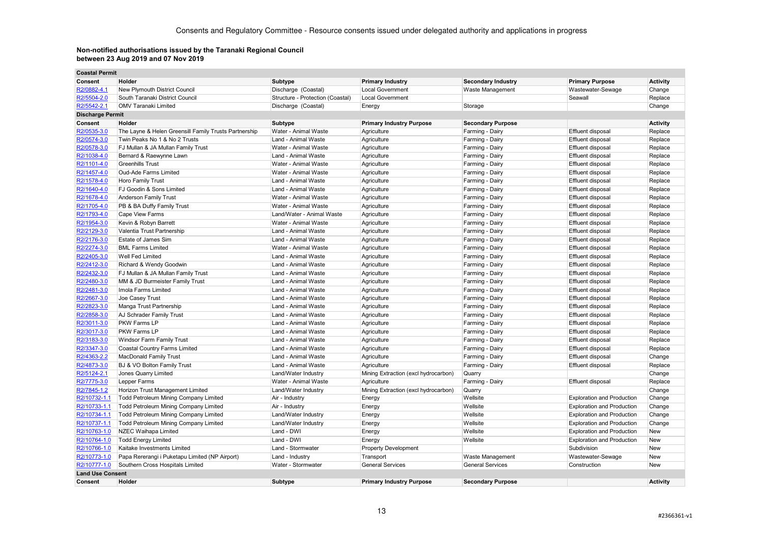**College** 

| <b>Coastal Permit</b>   |                                                       |                                  |                                      |                           |                                   |                 |
|-------------------------|-------------------------------------------------------|----------------------------------|--------------------------------------|---------------------------|-----------------------------------|-----------------|
| Consent                 | Holder                                                | Subtype                          | <b>Primary Industry</b>              | <b>Secondary Industry</b> | <b>Primary Purpose</b>            | <b>Activity</b> |
| R2/0882-4.1             | New Plymouth District Council                         | Discharge (Coastal)              | <b>Local Government</b>              | Waste Management          | Wastewater-Sewage                 | Change          |
| R2/5504-2.0             | South Taranaki District Council                       | Structure - Protection (Coastal) | <b>Local Government</b>              |                           | Seawall                           | Replace         |
| R2/5542-2.1             | <b>OMV Taranaki Limited</b>                           | Discharge (Coastal)              | Energy                               | Storage                   |                                   | Change          |
| <b>Discharge Permit</b> |                                                       |                                  |                                      |                           |                                   |                 |
| Consent                 | Holder                                                | Subtype                          | <b>Primary Industry Purpose</b>      | <b>Secondary Purpose</b>  |                                   | <b>Activity</b> |
| R2/0535-3.0             | The Layne & Helen Greensill Family Trusts Partnership | Water - Animal Waste             | Agriculture                          | Farming - Dairy           | Effluent disposal                 | Replace         |
| R2/0574-3.0             | Twin Peaks No 1 & No 2 Trusts                         | Land - Animal Waste              | Agriculture                          | Farming - Dairy           | Effluent disposal                 | Replace         |
| R2/0578-3.0             | FJ Mullan & JA Mullan Family Trust                    | Water - Animal Waste             | Agriculture                          | Farming - Dairy           | Effluent disposal                 | Replace         |
| R2/1038-4.0             | Bernard & Raewynne Lawn                               | Land - Animal Waste              | Agriculture                          | Farming - Dairy           | Effluent disposal                 | Replace         |
| R2/1101-4.0             | <b>Greenhills Trust</b>                               | Water - Animal Waste             | Agriculture                          | Farming - Dairy           | Effluent disposal                 | Replace         |
| R2/1457-4.0             | Oud-Ade Farms Limited                                 | Water - Animal Waste             | Agriculture                          | Farming - Dairy           | Effluent disposal                 | Replace         |
| R2/1578-4.0             | Horo Family Trust                                     | Land - Animal Waste              | Agriculture                          | Farming - Dairy           | Effluent disposal                 | Replace         |
| R2/1640-4.0             | FJ Goodin & Sons Limited                              | Land - Animal Waste              | Agriculture                          | Farming - Dairy           | Effluent disposal                 | Replace         |
| R2/1678-4.0             | <b>Anderson Family Trust</b>                          | Water - Animal Waste             | Agriculture                          | Farming - Dairy           | Effluent disposal                 | Replace         |
| R2/1705-4.0             | PB & BA Duffy Family Trust                            | Water - Animal Waste             | Agriculture                          | Farming - Dairy           | Effluent disposal                 | Replace         |
| R2/1793-4.0             | Cape View Farms                                       | Land/Water - Animal Waste        | Agriculture                          | Farming - Dairy           | Effluent disposal                 | Replace         |
| R2/1954-3.0             | Kevin & Robyn Barrett                                 | Water - Animal Waste             | Agriculture                          | Farming - Dairy           | Effluent disposal                 | Replace         |
| R2/2129-3.0             | Valentia Trust Partnership                            | Land - Animal Waste              | Agriculture                          | Farming - Dairy           | Effluent disposal                 | Replace         |
| R2/2176-3.0             | Estate of James Sim                                   | Land - Animal Waste              | Agriculture                          | Farming - Dairy           | Effluent disposal                 | Replace         |
| R2/2274-3.0             | <b>BML Farms Limited</b>                              | Water - Animal Waste             | Agriculture                          | Farming - Dairy           | Effluent disposal                 | Replace         |
| R2/2405-3.0             | Well Fed Limited                                      | Land - Animal Waste              | Agriculture                          | Farming - Dairy           | Effluent disposal                 | Replace         |
| R2/2412-3.0             | Richard & Wendy Goodwin                               | Land - Animal Waste              | Agriculture                          | Farming - Dairy           | Effluent disposal                 | Replace         |
| R2/2432-3.0             | FJ Mullan & JA Mullan Family Trust                    | Land - Animal Waste              | Agriculture                          | Farming - Dairy           | Effluent disposal                 | Replace         |
| R2/2480-3.0             | MM & JD Burmeister Family Trust                       | Land - Animal Waste              | Agriculture                          | Farming - Dairy           | Effluent disposal                 | Replace         |
| R2/2481-3.0             | Imola Farms Limited                                   | Land - Animal Waste              | Agriculture                          | Farming - Dairy           | Effluent disposal                 | Replace         |
| R2/2667-3.0             | Joe Casey Trust                                       | Land - Animal Waste              | Agriculture                          | Farming - Dairy           | Effluent disposal                 | Replace         |
| R2/2823-3.0             | Manga Trust Partnership                               | Land - Animal Waste              | Agriculture                          | Farming - Dairy           | Effluent disposal                 | Replace         |
| R2/2858-3.0             | AJ Schrader Family Trust                              | Land - Animal Waste              | Agriculture                          | Farming - Dairy           | Effluent disposal                 | Replace         |
| R2/3011-3.0             | PKW Farms LP                                          | Land - Animal Waste              | Agriculture                          | Farming - Dairy           | Effluent disposal                 | Replace         |
| R2/3017-3.0             | <b>PKW Farms LP</b>                                   | Land - Animal Waste              | Agriculture                          | Farming - Dairy           | Effluent disposal                 | Replace         |
| R2/3183-3.0             | Windsor Farm Family Trust                             | Land - Animal Waste              | Agriculture                          | Farming - Dairy           | Effluent disposal                 | Replace         |
| R2/3347-3.0             | Coastal Country Farms Limited                         | Land - Animal Waste              | Agriculture                          | Farming - Dairy           | Effluent disposal                 | Replace         |
| R2/4363-2.2             | <b>MacDonald Family Trust</b>                         | Land - Animal Waste              | Agriculture                          | Farming - Dairy           | Effluent disposal                 | Change          |
| R2/4873-3.0             | BJ & VO Bolton Family Trust                           | Land - Animal Waste              | Agriculture                          | Farming - Dairy           | <b>Effluent disposal</b>          | Replace         |
| R2/5124-2.1             | Jones Quarry Limited                                  | Land/Water Industry              | Mining Extraction (excl hydrocarbon) | Quarry                    |                                   | Change          |
| R2/7775-3.0             | Lepper Farms                                          | Water - Animal Waste             | Agriculture                          | Farming - Dairy           | Effluent disposal                 | Replace         |
| R2/7845-1.2             | Horizon Trust Management Limited                      | Land/Water Industry              | Mining Extraction (excl hydrocarbon) | Quarry                    |                                   | Change          |
| R2/10732-1.1            | <b>Todd Petroleum Mining Company Limited</b>          | Air - Industry                   | Energy                               | Wellsite                  | <b>Exploration and Production</b> | Change          |
| R2/10733-1.1            | Todd Petroleum Mining Company Limited                 | Air - Industry                   | Energy                               | Wellsite                  | <b>Exploration and Production</b> | Change          |
| R2/10734-1.1            | Todd Petroleum Mining Company Limited                 | Land/Water Industry              | Energy                               | Wellsite                  | <b>Exploration and Production</b> | Change          |
| R2/10737-1.1            | <b>Todd Petroleum Mining Company Limited</b>          | Land/Water Industry              | Energy                               | Wellsite                  | <b>Exploration and Production</b> | Change          |
| R2/10763-1.0            | NZEC Waihapa Limited                                  | Land - DWI                       | Energy                               | Wellsite                  | <b>Exploration and Production</b> | New             |
| R2/10764-1.0            | <b>Todd Energy Limited</b>                            | Land - DWI                       | Energy                               | Wellsite                  | <b>Exploration and Production</b> | New             |
| R2/10766-1.0            | Kaitake Investments Limited                           | Land - Stormwater                | <b>Property Development</b>          |                           | Subdivision                       | New             |
| R2/10773-1.0            | Papa Rererangi i Puketapu Limited (NP Airport)        | Land - Industry                  | Transport                            | Waste Management          | Wastewater-Sewage                 | New             |
| R2/10777-1.0            | Southern Cross Hospitals Limited                      | Water - Stormwater               | <b>General Services</b>              | <b>General Services</b>   | Construction                      | New             |
| <b>Land Use Consent</b> |                                                       |                                  |                                      |                           |                                   |                 |
| Consent                 | Holder                                                | Subtype                          | <b>Primary Industry Purpose</b>      | <b>Secondary Purpose</b>  |                                   | <b>Activity</b> |
|                         |                                                       |                                  |                                      |                           |                                   |                 |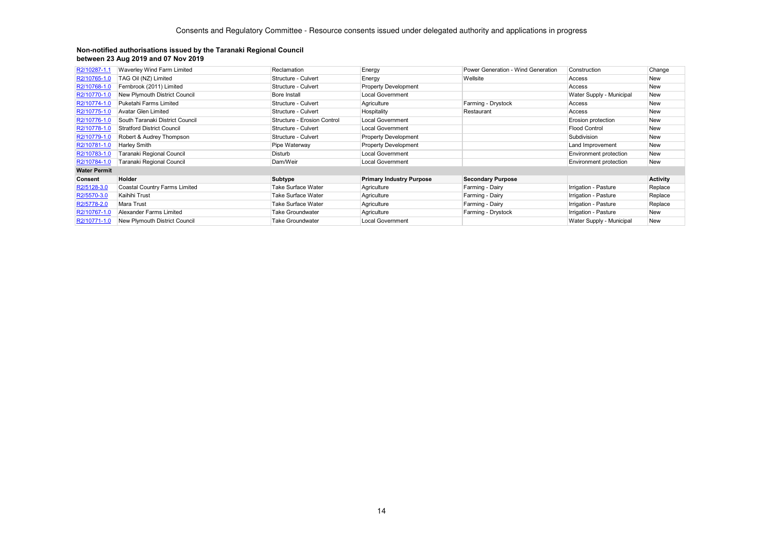| R2/10287-1.1        | Waverley Wind Farm Limited           | Reclamation                 | Energy                          | Power Generation - Wind Generation | Construction             | Change          |
|---------------------|--------------------------------------|-----------------------------|---------------------------------|------------------------------------|--------------------------|-----------------|
| R2/10765-1.0        | TAG Oil (NZ) Limited                 | Structure - Culvert         | Energy                          | Wellsite                           | Access                   | New             |
| R2/10768-1.0        | Fernbrook (2011) Limited             | Structure - Culvert         | <b>Property Development</b>     |                                    | Access                   | <b>New</b>      |
| R2/10770-1.0        | New Plymouth District Council        | <b>Bore Install</b>         | <b>Local Government</b>         |                                    | Water Supply - Municipal | <b>New</b>      |
| R2/10774-1.0        | Puketahi Farms Limited               | Structure - Culvert         | Agriculture                     | Farming - Drystock                 | Access                   | New             |
| R2/10775-1.0        | <b>Avatar Glen Limited</b>           | Structure - Culvert         | Hospitality                     | Restaurant                         | Access                   | New             |
| R2/10776-1.0        | South Taranaki District Council      | Structure - Erosion Control | <b>Local Government</b>         |                                    | Erosion protection       | New             |
| R2/10778-1.0        | <b>Stratford District Council</b>    | Structure - Culvert         | <b>Local Government</b>         |                                    | <b>Flood Control</b>     | <b>New</b>      |
| R2/10779-1.0        | Robert & Audrey Thompson             | Structure - Culvert         | <b>Property Development</b>     |                                    | Subdivision              | <b>New</b>      |
| R2/10781-1.0        | <b>Harley Smith</b>                  | Pipe Waterway               | <b>Property Development</b>     |                                    | Land Improvement         | <b>New</b>      |
| R2/10783-1.0        | Taranaki Regional Council            | Disturb                     | <b>Local Government</b>         |                                    | Environment protection   | <b>New</b>      |
| R2/10784-1.0        | Taranaki Regional Council            | Dam/Weir                    | <b>Local Government</b>         |                                    | Environment protection   | <b>New</b>      |
| <b>Water Permit</b> |                                      |                             |                                 |                                    |                          |                 |
| Consent             | Holder                               | <b>Subtype</b>              | <b>Primary Industry Purpose</b> | <b>Secondary Purpose</b>           |                          | <b>Activity</b> |
| R2/5128-3.0         | <b>Coastal Country Farms Limited</b> | <b>Take Surface Water</b>   | Agriculture                     | Farming - Dairy                    | Irrigation - Pasture     | Replace         |
| R2/5570-3.0         | Kaihihi Trust                        | <b>Take Surface Water</b>   | Agriculture                     | Farming - Dairy                    | Irrigation - Pasture     | Replace         |
| R2/5778-2.0         | Mara Trust                           | <b>Take Surface Water</b>   | Agriculture                     | Farming - Dairy                    | Irrigation - Pasture     | Replace         |
| R2/10767-1.0        | Alexander Farms Limited              | <b>Take Groundwater</b>     | Agriculture                     | Farming - Drystock                 | Irrigation - Pasture     | <b>New</b>      |
| R2/10771-1.0        | New Plymouth District Council        | <b>Take Groundwater</b>     | <b>Local Government</b>         |                                    | Water Supply - Municipal | <b>New</b>      |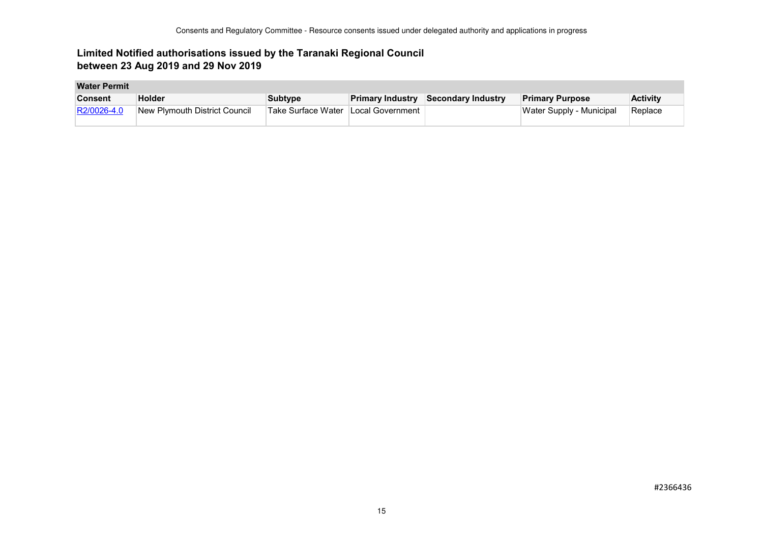## **Limited Notified authorisations issued by the Taranaki Regional Council between 23 Aug 2019 and 29 Nov 2019**

#### **Water Permit**

| <b>Consent</b> | <b>Holder</b>                 | Subtype                             | <b>Primary Industry Secondary Industry</b> | <b>Primary Purpose</b>   | <b>Activity</b> |
|----------------|-------------------------------|-------------------------------------|--------------------------------------------|--------------------------|-----------------|
| R2/0026-4.0    | New Plymouth District Council | Take Surface Water Local Government |                                            | Water Supply - Municipal | Replace         |
|                |                               |                                     |                                            |                          |                 |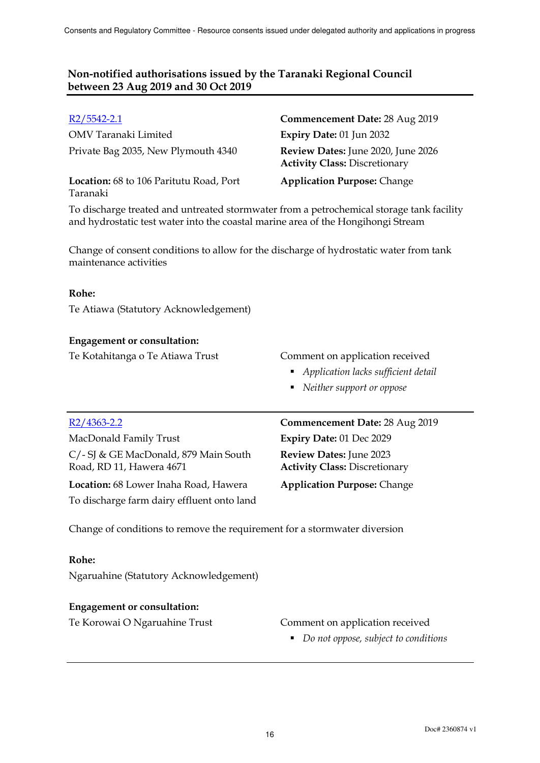OMV Taranaki Limited **Expiry Date:** 01 Jun 2032 Private Bag 2035, New Plymouth 4340 **Review Dates:** June 2020, June 2026

**Location:** 68 to 106 Paritutu Road, Port Taranaki

# R2/5542-2.1 **Commencement Date:** 28 Aug 2019 **Activity Class:** Discretionary

**Application Purpose:** Change

To discharge treated and untreated stormwater from a petrochemical storage tank facility and hydrostatic test water into the coastal marine area of the Hongihongi Stream

Change of consent conditions to allow for the discharge of hydrostatic water from tank maintenance activities

### **Rohe:**

Te Atiawa (Statutory Acknowledgement)

### **Engagement or consultation:**

Te Kotahitanga o Te Atiawa Trust Comment on application received

- *Application lacks sufficient detail*
- *Neither support or oppose*

MacDonald Family Trust **Expiry Date:** 01 Dec 2029 C/- SJ & GE MacDonald, 879 Main South Road, RD 11, Hawera 4671

**Location:** 68 Lower Inaha Road, Hawera **Application Purpose:** Change To discharge farm dairy effluent onto land

R2/4363-2.2 **Commencement Date:** 28 Aug 2019 **Review Dates:** June 2023 **Activity Class:** Discretionary

Change of conditions to remove the requirement for a stormwater diversion

#### **Rohe:**

Ngaruahine (Statutory Acknowledgement)

#### **Engagement or consultation:**

#### Te Korowai O Ngaruahine Trust Comment on application received

*Do not oppose, subject to conditions*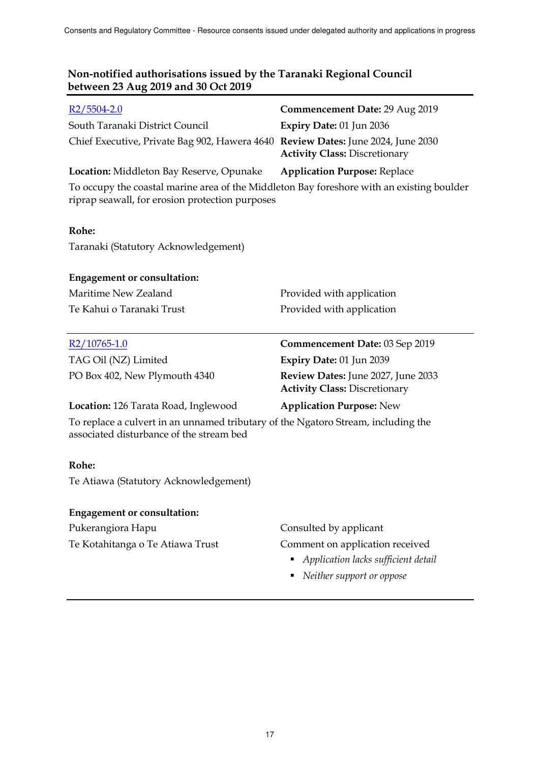| $R2/5504-2.0$                                                                                                                                | <b>Commencement Date: 29 Aug 2019</b>                                      |
|----------------------------------------------------------------------------------------------------------------------------------------------|----------------------------------------------------------------------------|
| South Taranaki District Council                                                                                                              | Expiry Date: 01 Jun 2036                                                   |
| Chief Executive, Private Bag 902, Hawera 4640 Review Dates: June 2024, June 2030                                                             | <b>Activity Class: Discretionary</b>                                       |
| Location: Middleton Bay Reserve, Opunake                                                                                                     | <b>Application Purpose: Replace</b>                                        |
| To occupy the coastal marine area of the Middleton Bay foreshore with an existing boulder<br>riprap seawall, for erosion protection purposes |                                                                            |
| Rohe:                                                                                                                                        |                                                                            |
| Taranaki (Statutory Acknowledgement)                                                                                                         |                                                                            |
| <b>Engagement or consultation:</b>                                                                                                           |                                                                            |
| Maritime New Zealand                                                                                                                         | Provided with application                                                  |
| Te Kahui o Taranaki Trust                                                                                                                    | Provided with application                                                  |
|                                                                                                                                              |                                                                            |
| R2/10765-1.0                                                                                                                                 | Commencement Date: 03 Sep 2019                                             |
| TAG Oil (NZ) Limited                                                                                                                         | Expiry Date: 01 Jun 2039                                                   |
| PO Box 402, New Plymouth 4340                                                                                                                | Review Dates: June 2027, June 2033<br><b>Activity Class: Discretionary</b> |
| <b>Location:</b> 126 Tarata Road, Inglewood                                                                                                  | <b>Application Purpose: New</b>                                            |
| To replace a culvert in an unnamed tributary of the Ngatoro Stream, including the<br>associated disturbance of the stream bed                |                                                                            |
| Rohe:                                                                                                                                        |                                                                            |
| Te Atiawa (Statutory Acknowledgement)                                                                                                        |                                                                            |
| <b>Engagement or consultation:</b>                                                                                                           |                                                                            |
| Pukerangiora Hapu                                                                                                                            | Consulted by applicant                                                     |

*Neither support or oppose*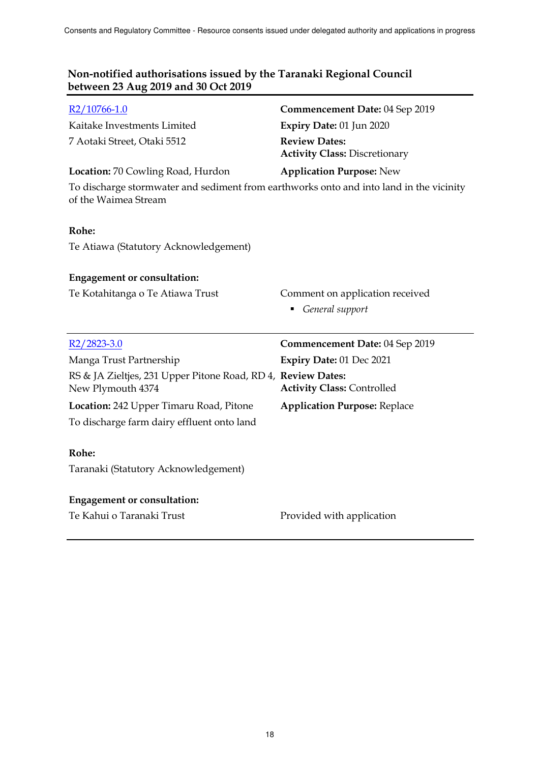| $R2/10766 - 1.0$                                                                                                | Commencement Date: 04 Sep 2019                               |
|-----------------------------------------------------------------------------------------------------------------|--------------------------------------------------------------|
| Kaitake Investments Limited                                                                                     | Expiry Date: 01 Jun 2020                                     |
| 7 Aotaki Street, Otaki 5512                                                                                     | <b>Review Dates:</b><br><b>Activity Class: Discretionary</b> |
| Location: 70 Cowling Road, Hurdon                                                                               | <b>Application Purpose: New</b>                              |
| To discharge stormwater and sediment from earthworks onto and into land in the vicinity<br>of the Waimea Stream |                                                              |
| Rohe:                                                                                                           |                                                              |
| Te Atiawa (Statutory Acknowledgement)                                                                           |                                                              |
| <b>Engagement or consultation:</b>                                                                              |                                                              |
| Te Kotahitanga o Te Atiawa Trust                                                                                | Comment on application received                              |
|                                                                                                                 | • General support                                            |
|                                                                                                                 |                                                              |
| $R2/2823-3.0$                                                                                                   | Commencement Date: 04 Sep 2019                               |
| Manga Trust Partnership                                                                                         | Expiry Date: 01 Dec 2021                                     |
| RS & JA Zieltjes, 231 Upper Pitone Road, RD 4, Review Dates:<br>New Plymouth 4374                               | <b>Activity Class: Controlled</b>                            |
| Location: 242 Upper Timaru Road, Pitone                                                                         | <b>Application Purpose: Replace</b>                          |
| To discharge farm dairy effluent onto land                                                                      |                                                              |
| Rohe:                                                                                                           |                                                              |
| Taranaki (Statutory Acknowledgement)                                                                            |                                                              |
| <b>Engagement or consultation:</b>                                                                              |                                                              |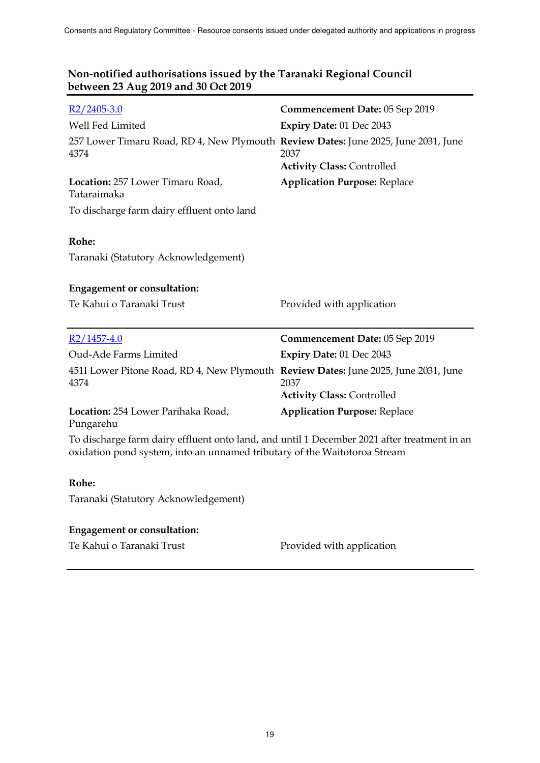| $R2/2405-3.0$                                                                                                                                                            | Commencement Date: 05 Sep 2019            |
|--------------------------------------------------------------------------------------------------------------------------------------------------------------------------|-------------------------------------------|
| Well Fed Limited                                                                                                                                                         | Expiry Date: 01 Dec 2043                  |
| 257 Lower Timaru Road, RD 4, New Plymouth Review Dates: June 2025, June 2031, June<br>4374                                                                               | 2037<br><b>Activity Class: Controlled</b> |
| Location: 257 Lower Timaru Road,<br>Tataraimaka                                                                                                                          | <b>Application Purpose: Replace</b>       |
| To discharge farm dairy effluent onto land                                                                                                                               |                                           |
|                                                                                                                                                                          |                                           |
| Rohe:                                                                                                                                                                    |                                           |
| Taranaki (Statutory Acknowledgement)                                                                                                                                     |                                           |
|                                                                                                                                                                          |                                           |
| <b>Engagement or consultation:</b>                                                                                                                                       |                                           |
| Te Kahui o Taranaki Trust                                                                                                                                                | Provided with application                 |
|                                                                                                                                                                          |                                           |
| $R2/1457-4.0$                                                                                                                                                            | Commencement Date: 05 Sep 2019            |
| Oud-Ade Farms Limited                                                                                                                                                    | Expiry Date: 01 Dec 2043                  |
| 451I Lower Pitone Road, RD 4, New Plymouth Review Dates: June 2025, June 2031, June<br>4374                                                                              | 2037                                      |
|                                                                                                                                                                          | <b>Activity Class: Controlled</b>         |
| Location: 254 Lower Parihaka Road,<br>Pungarehu                                                                                                                          | <b>Application Purpose: Replace</b>       |
| To discharge farm dairy effluent onto land, and until 1 December 2021 after treatment in an<br>oxidation pond system, into an unnamed tributary of the Waitotoroa Stream |                                           |
|                                                                                                                                                                          |                                           |

# **Rohe:**

Taranaki (Statutory Acknowledgement)

# **Engagement or consultation:**

Te Kahui o Taranaki Trust Provided with application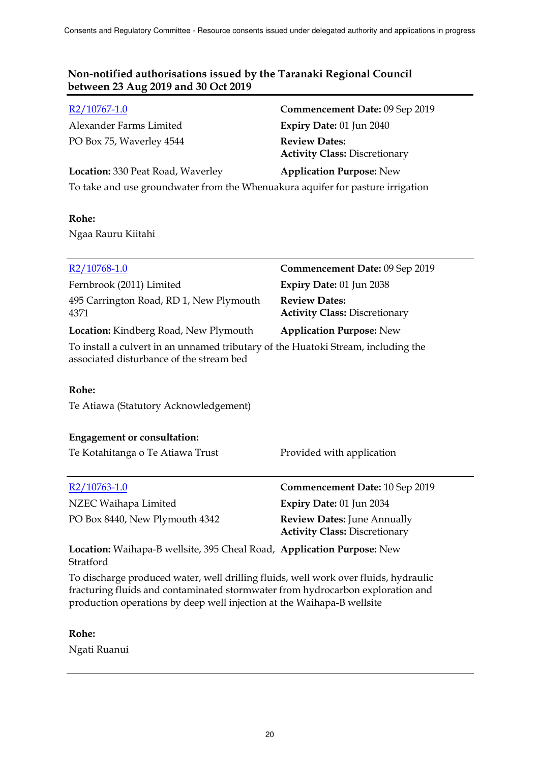Alexander Farms Limited **Expiry Date:** 01 Jun 2040 PO Box 75, Waverley 4544 **Review Dates:**

R2/10767-1.0 **Commencement Date:** 09 Sep 2019 **Activity Class:** Discretionary **Location:** 330 Peat Road, Waverley **Application Purpose:** New

To take and use groundwater from the Whenuakura aquifer for pasture irrigation

# **Rohe:**

Ngaa Rauru Kiitahi

| $R2/10768-1.0$                                                                                                                                                                                                                                  | Commencement Date: 09 Sep 2019                                             |
|-------------------------------------------------------------------------------------------------------------------------------------------------------------------------------------------------------------------------------------------------|----------------------------------------------------------------------------|
| Fernbrook (2011) Limited                                                                                                                                                                                                                        | Expiry Date: 01 Jun 2038                                                   |
| 495 Carrington Road, RD 1, New Plymouth<br>4371                                                                                                                                                                                                 | <b>Review Dates:</b><br><b>Activity Class: Discretionary</b>               |
| <b>Location:</b> Kindberg Road, New Plymouth                                                                                                                                                                                                    | <b>Application Purpose: New</b>                                            |
| To install a culvert in an unnamed tributary of the Huatoki Stream, including the<br>associated disturbance of the stream bed                                                                                                                   |                                                                            |
| Rohe:                                                                                                                                                                                                                                           |                                                                            |
| Te Atiawa (Statutory Acknowledgement)                                                                                                                                                                                                           |                                                                            |
| <b>Engagement or consultation:</b>                                                                                                                                                                                                              |                                                                            |
| Te Kotahitanga o Te Atiawa Trust                                                                                                                                                                                                                | Provided with application                                                  |
| R <sub>2</sub> /10763-1.0                                                                                                                                                                                                                       | Commencement Date: 10 Sep 2019                                             |
| NZEC Waihapa Limited                                                                                                                                                                                                                            | Expiry Date: 01 Jun 2034                                                   |
| PO Box 8440, New Plymouth 4342                                                                                                                                                                                                                  | <b>Review Dates: June Annually</b><br><b>Activity Class: Discretionary</b> |
| Location: Waihapa-B wellsite, 395 Cheal Road, Application Purpose: New<br>Stratford                                                                                                                                                             |                                                                            |
| To discharge produced water, well drilling fluids, well work over fluids, hydraulic<br>fracturing fluids and contaminated stormwater from hydrocarbon exploration and<br>production operations by deep well injection at the Waihapa-B wellsite |                                                                            |

# **Rohe:**

Ngati Ruanui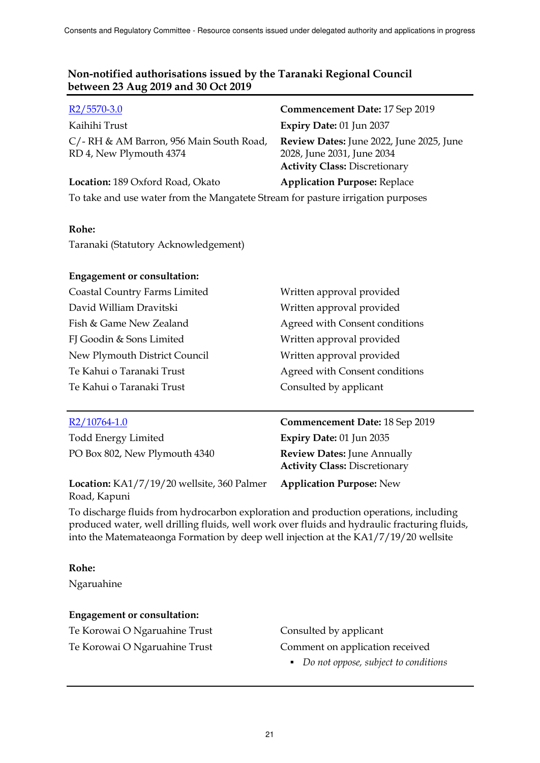| $R2/5570-3.0$                                                                   | Commencement Date: 17 Sep 2019                                                                                 |  |
|---------------------------------------------------------------------------------|----------------------------------------------------------------------------------------------------------------|--|
| Kaihihi Trust                                                                   | Expiry Date: 01 Jun 2037                                                                                       |  |
| C/-RH & AM Barron, 956 Main South Road,<br>RD 4, New Plymouth 4374              | Review Dates: June 2022, June 2025, June<br>2028, June 2031, June 2034<br><b>Activity Class: Discretionary</b> |  |
| Location: 189 Oxford Road, Okato                                                | <b>Application Purpose: Replace</b>                                                                            |  |
| To take and use water from the Mangatete Stream for pasture irrigation purposes |                                                                                                                |  |

#### **Rohe:**

Taranaki (Statutory Acknowledgement)

#### **Engagement or consultation:**

| Written approval provided      |
|--------------------------------|
| Written approval provided      |
| Agreed with Consent conditions |
| Written approval provided      |
| Written approval provided      |
| Agreed with Consent conditions |
| Consulted by applicant         |
|                                |

Todd Energy Limited **Expiry Date:** 01 Jun 2035 PO Box 802, New Plymouth 4340 **Review Dates:** June Annually

**Location:** KA1/7/19/20 wellsite, 360 Palmer Road, Kapuni

R2/10764-1.0 **Commencement Date:** 18 Sep 2019 **Activity Class:** Discretionary

**Application Purpose:** New

To discharge fluids from hydrocarbon exploration and production operations, including produced water, well drilling fluids, well work over fluids and hydraulic fracturing fluids, into the Matemateaonga Formation by deep well injection at the KA1/7/19/20 wellsite

#### **Rohe:**

Ngaruahine

#### **Engagement or consultation:**

Te Korowai O Ngaruahine Trust Consulted by applicant

Te Korowai O Ngaruahine Trust Comment on application received

*Do not oppose, subject to conditions*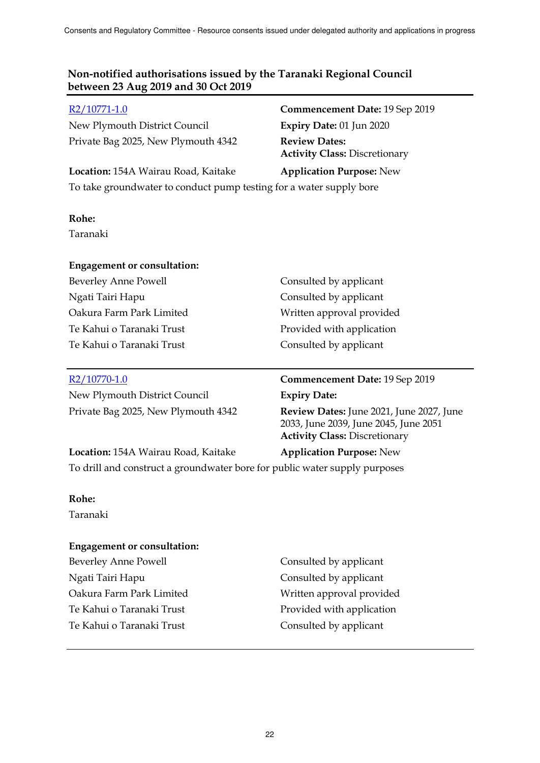New Plymouth District Council **Expiry Date:** 01 Jun 2020 Private Bag 2025, New Plymouth 4342 **Review Dates:**

# R2/10771-1.0 **Commencement Date:** 19 Sep 2019 **Activity Class:** Discretionary **Location:** 154A Wairau Road, Kaitake **Application Purpose:** New

To take groundwater to conduct pump testing for a water supply bore

# **Rohe:**

Taranaki

# **Engagement or consultation:**

| <b>Beverley Anne Powell</b> |
|-----------------------------|
| Ngati Tairi Hapu            |
| Oakura Farm Park Limited    |
| Te Kahui o Taranaki Trust   |
| Te Kahui o Taranaki Trust   |

Consulted by applicant Consulted by applicant Written approval provided Provided with application Consulted by applicant

New Plymouth District Council **Expiry Date:**

# R2/10770-1.0 **Commencement Date:** 19 Sep 2019

Private Bag 2025, New Plymouth 4342 **Review Dates:** June 2021, June 2027, June 2033, June 2039, June 2045, June 2051 **Activity Class:** Discretionary

# **Location:** 154A Wairau Road, Kaitake **Application Purpose:** New

To drill and construct a groundwater bore for public water supply purposes

# **Rohe:**

Taranaki

# **Engagement or consultation:**

Beverley Anne Powell Consulted by applicant Ngati Tairi Hapu Consulted by applicant Oakura Farm Park Limited Written approval provided Te Kahui o Taranaki Trust Provided with application Te Kahui o Taranaki Trust Consulted by applicant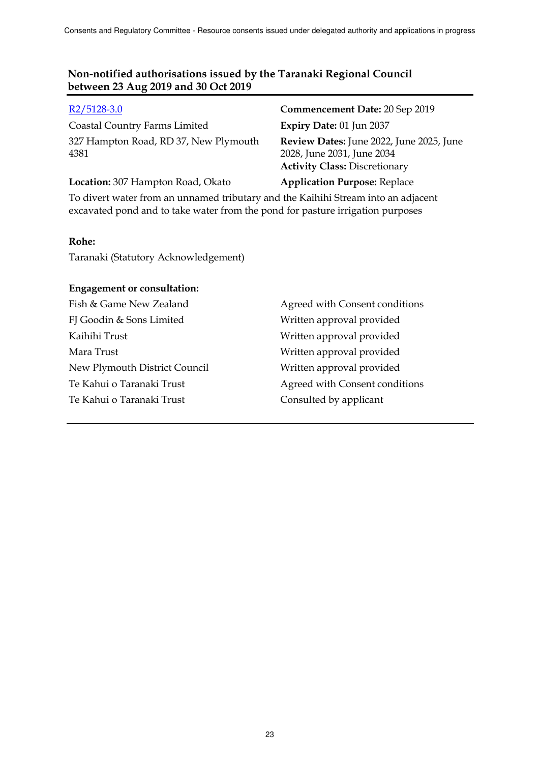Coastal Country Farms Limited **Expiry Date:** 01 Jun 2037 327 Hampton Road, RD 37, New Plymouth 4381

R2/5128-3.0 **Commencement Date:** 20 Sep 2019 **Review Dates:** June 2022, June 2025, June 2028, June 2031, June 2034 **Activity Class:** Discretionary

**Location:** 307 Hampton Road, Okato **Application Purpose:** Replace

To divert water from an unnamed tributary and the Kaihihi Stream into an adjacent excavated pond and to take water from the pond for pasture irrigation purposes

### **Rohe:**

Taranaki (Statutory Acknowledgement)

### **Engagement or consultation:**

FJ Goodin & Sons Limited Written approval provided Kaihihi Trust Written approval provided Mara Trust Written approval provided New Plymouth District Council Written approval provided Te Kahui o Taranaki Trust Consulted by applicant

Fish & Game New Zealand Agreed with Consent conditions Te Kahui o Taranaki Trust Agreed with Consent conditions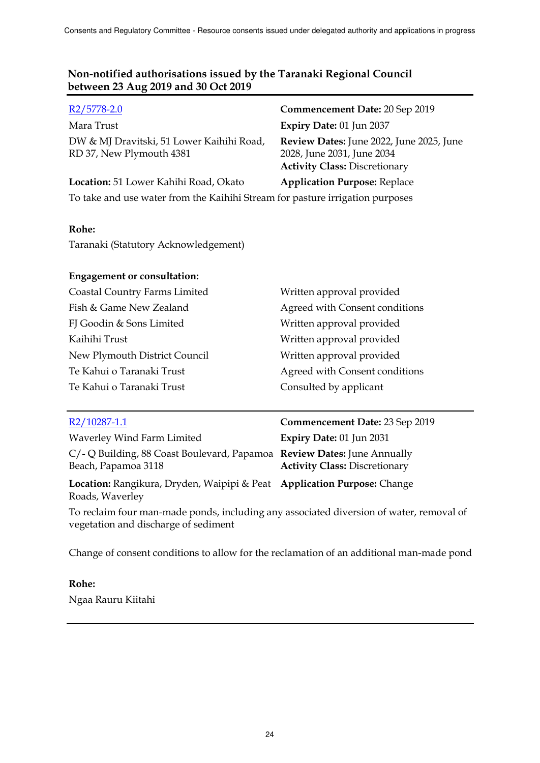| $R2/5778-2.0$                                                                 | Commencement Date: 20 Sep 2019                                                                                 |
|-------------------------------------------------------------------------------|----------------------------------------------------------------------------------------------------------------|
| Mara Trust                                                                    | Expiry Date: 01 Jun 2037                                                                                       |
| DW & MJ Dravitski, 51 Lower Kaihihi Road,<br>RD 37, New Plymouth 4381         | Review Dates: June 2022, June 2025, June<br>2028, June 2031, June 2034<br><b>Activity Class: Discretionary</b> |
| Location: 51 Lower Kahihi Road, Okato                                         | <b>Application Purpose: Replace</b>                                                                            |
| To take and use water from the Kaihihi Stream for pasture irrigation purposes |                                                                                                                |

### **Rohe:**

Taranaki (Statutory Acknowledgement)

# **Engagement or consultation:**

| Coastal Country Farms Limited | Written approval provided      |
|-------------------------------|--------------------------------|
| Fish & Game New Zealand       | Agreed with Consent conditions |
| FJ Goodin & Sons Limited      | Written approval provided      |
| Kaihihi Trust                 | Written approval provided      |
| New Plymouth District Council | Written approval provided      |
| Te Kahui o Taranaki Trust     | Agreed with Consent conditions |
| Te Kahui o Taranaki Trust     | Consulted by applicant         |
|                               |                                |

| R2/10287-1.1                                                                                                                    | Commencement Date: 23 Sep 2019       |
|---------------------------------------------------------------------------------------------------------------------------------|--------------------------------------|
| Waverley Wind Farm Limited                                                                                                      | Expiry Date: 01 Jun 2031             |
| C/- Q Building, 88 Coast Boulevard, Papamoa Review Dates: June Annually<br>Beach, Papamoa 3118                                  | <b>Activity Class: Discretionary</b> |
| Location: Rangikura, Dryden, Waipipi & Peat Application Purpose: Change<br>Roads, Waverley                                      |                                      |
| To reclaim four man-made ponds, including any associated diversion of water, removal of<br>vegetation and discharge of sediment |                                      |
|                                                                                                                                 |                                      |

Change of consent conditions to allow for the reclamation of an additional man-made pond

# **Rohe:**

Ngaa Rauru Kiitahi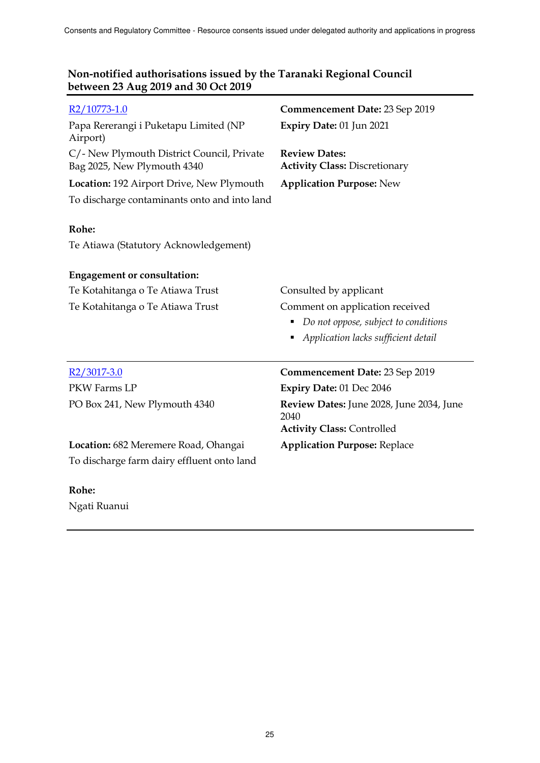| R2/10773-1.0                                                              | Commencement Date: 23 Sep 2019                               |
|---------------------------------------------------------------------------|--------------------------------------------------------------|
| Papa Rererangi i Puketapu Limited (NP<br>Airport)                         | Expiry Date: 01 Jun 2021                                     |
| C/- New Plymouth District Council, Private<br>Bag 2025, New Plymouth 4340 | <b>Review Dates:</b><br><b>Activity Class: Discretionary</b> |
| Location: 192 Airport Drive, New Plymouth                                 | <b>Application Purpose: New</b>                              |
| To discharge contaminants onto and into land                              |                                                              |
|                                                                           |                                                              |
| Rohe:                                                                     |                                                              |
| Te Atiawa (Statutory Acknowledgement)                                     |                                                              |
| <b>Engagement or consultation:</b>                                        |                                                              |
| Te Kotahitanga o Te Atiawa Trust                                          | Consulted by applicant                                       |
| Te Kotahitanga o Te Atiawa Trust                                          | Comment on application received                              |
|                                                                           | Do not oppose, subject to conditions<br>٠                    |
|                                                                           | Application lacks sufficient detail                          |
|                                                                           |                                                              |
| $R2/3017-3.0$                                                             | Commencement Date: 23 Sep 2019                               |
| PKW Farms LP                                                              | Expiry Date: 01 Dec 2046                                     |
| PO Box 241, New Plymouth 4340                                             | Review Dates: June 2028, June 2034, June                     |

2040

**Activity Class:** Controlled

# **Non-notified authorisations issued by the Taranaki Regional Council between 23 Aug 2019 and 30 Oct 2019**

**Location:** 682 Meremere Road, Ohangai **Application Purpose:** Replace To discharge farm dairy effluent onto land

#### **Rohe:**

Ngati Ruanui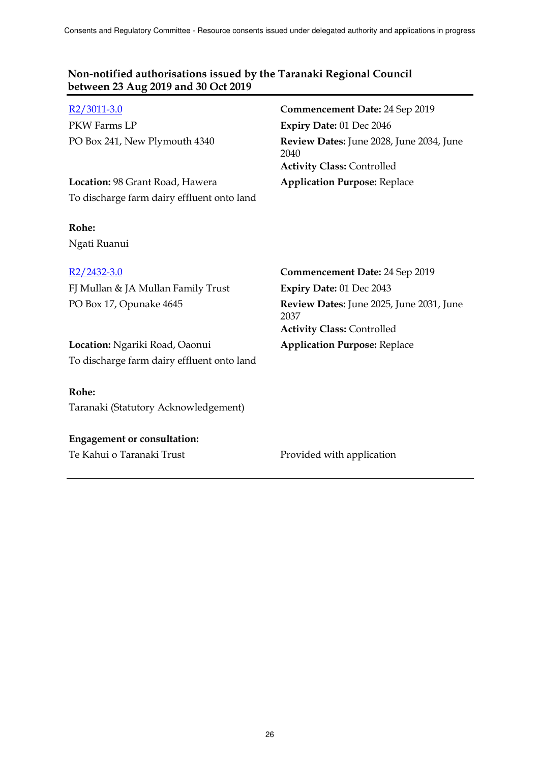| R <sub>2</sub> /3011-3.0                   | Commencement Date: 24 Sep 2019                                                        |
|--------------------------------------------|---------------------------------------------------------------------------------------|
| PKW Farms LP                               | Expiry Date: 01 Dec 2046                                                              |
| PO Box 241, New Plymouth 4340              | Review Dates: June 2028, June 2034, June<br>2040<br><b>Activity Class: Controlled</b> |
| Location: 98 Grant Road, Hawera            | <b>Application Purpose: Replace</b>                                                   |
| To discharge farm dairy effluent onto land |                                                                                       |
| Rohe:                                      |                                                                                       |
| Ngati Ruanui                               |                                                                                       |
| R <sub>2</sub> /2432-3.0                   | <b>Commencement Date: 24 Sep 2019</b>                                                 |
| FJ Mullan & JA Mullan Family Trust         | Expiry Date: 01 Dec 2043                                                              |
| PO Box 17, Opunake 4645                    | Review Dates: June 2025, June 2031, June<br>2037<br><b>Activity Class: Controlled</b> |
| Location: Ngariki Road, Oaonui             | <b>Application Purpose: Replace</b>                                                   |
| To discharge farm dairy effluent onto land |                                                                                       |
| Rohe:                                      |                                                                                       |
| Taranaki (Statutory Acknowledgement)       |                                                                                       |
| <b>Engagement or consultation:</b>         |                                                                                       |
| Te Kahui o Taranaki Trust                  | Provided with application                                                             |

26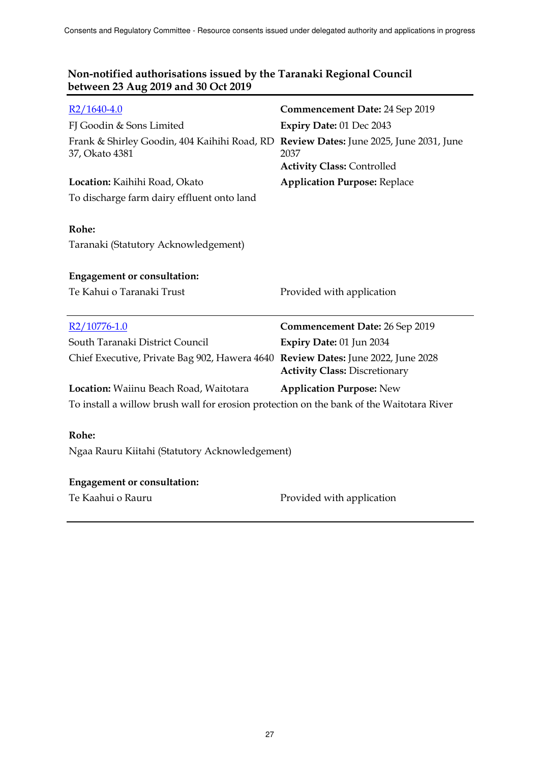| $R2/1640-4.0$                                                                                           | Commencement Date: 24 Sep 2019            |
|---------------------------------------------------------------------------------------------------------|-------------------------------------------|
| FJ Goodin & Sons Limited                                                                                | Expiry Date: 01 Dec 2043                  |
| Frank & Shirley Goodin, 404 Kaihihi Road, RD Review Dates: June 2025, June 2031, June<br>37, Okato 4381 | 2037<br><b>Activity Class: Controlled</b> |
| Location: Kaihihi Road, Okato                                                                           | <b>Application Purpose: Replace</b>       |
| To discharge farm dairy effluent onto land                                                              |                                           |
| Rohe:<br>Taranaki (Statutory Acknowledgement)                                                           |                                           |
| <b>Engagement or consultation:</b>                                                                      |                                           |
| Te Kahui o Taranaki Trust                                                                               | Provided with application                 |
|                                                                                                         |                                           |
|                                                                                                         |                                           |
| R2/10776-1.0                                                                                            | Commencement Date: 26 Sep 2019            |
| South Taranaki District Council                                                                         | Expiry Date: 01 Jun 2034                  |
| Chief Executive, Private Bag 902, Hawera 4640 Review Dates: June 2022, June 2028                        | <b>Activity Class: Discretionary</b>      |
| Location: Waiinu Beach Road, Waitotara                                                                  | <b>Application Purpose: New</b>           |
| To install a willow brush wall for erosion protection on the bank of the Waitotara River                |                                           |
|                                                                                                         |                                           |
| Rohe:                                                                                                   |                                           |
| Ngaa Rauru Kiitahi (Statutory Acknowledgement)                                                          |                                           |
|                                                                                                         |                                           |
| <b>Engagement or consultation:</b>                                                                      |                                           |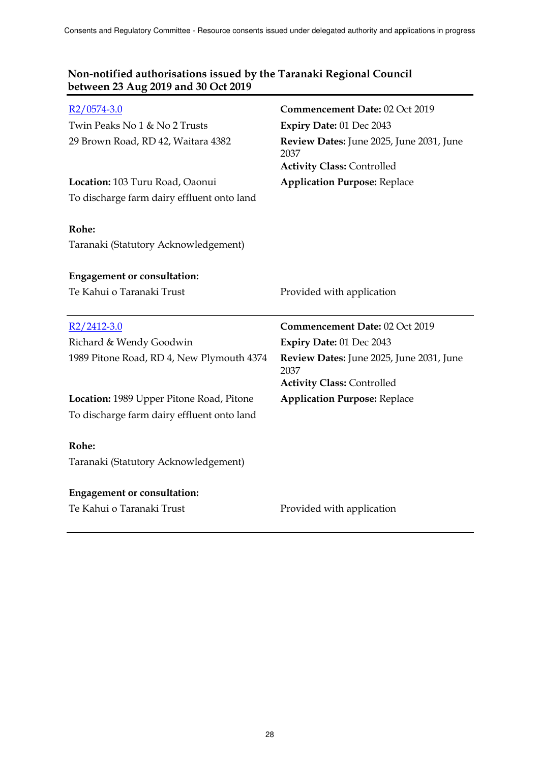| $R2/0574-3.0$                                                                          | Commencement Date: 02 Oct 2019                                                        |
|----------------------------------------------------------------------------------------|---------------------------------------------------------------------------------------|
| Twin Peaks No 1 & No 2 Trusts                                                          | Expiry Date: 01 Dec 2043                                                              |
| 29 Brown Road, RD 42, Waitara 4382                                                     | Review Dates: June 2025, June 2031, June<br>2037<br><b>Activity Class: Controlled</b> |
| Location: 103 Turu Road, Oaonui                                                        | <b>Application Purpose: Replace</b>                                                   |
| To discharge farm dairy effluent onto land                                             |                                                                                       |
| Rohe:                                                                                  |                                                                                       |
| Taranaki (Statutory Acknowledgement)                                                   |                                                                                       |
| <b>Engagement or consultation:</b>                                                     |                                                                                       |
| Te Kahui o Taranaki Trust                                                              | Provided with application                                                             |
|                                                                                        |                                                                                       |
| $R2/2412-3.0$                                                                          | Commencement Date: 02 Oct 2019                                                        |
| Richard & Wendy Goodwin                                                                | Expiry Date: 01 Dec 2043                                                              |
| 1989 Pitone Road, RD 4, New Plymouth 4374                                              | Review Dates: June 2025, June 2031, June<br>2037                                      |
|                                                                                        | <b>Activity Class: Controlled</b>                                                     |
| Location: 1989 Upper Pitone Road, Pitone<br>To discharge farm dairy effluent onto land | <b>Application Purpose: Replace</b>                                                   |
| Rohe:                                                                                  |                                                                                       |
| Taranaki (Statutory Acknowledgement)                                                   |                                                                                       |
| <b>Engagement or consultation:</b>                                                     |                                                                                       |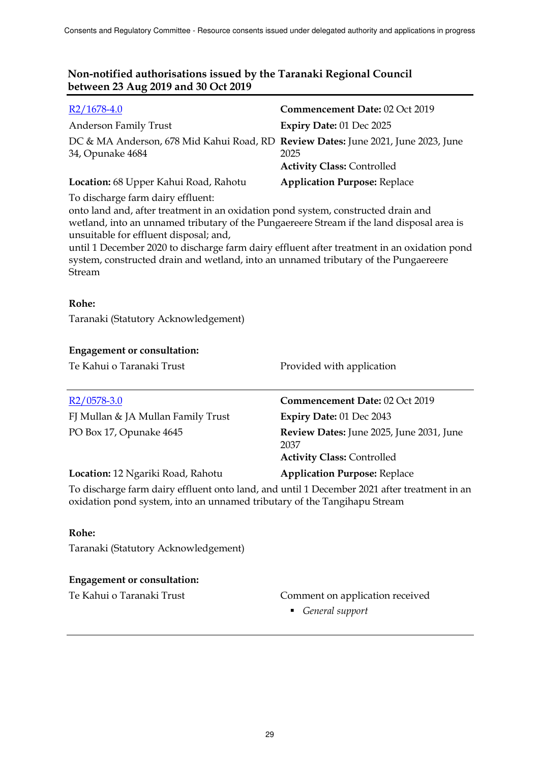| $R2/1678-4.0$                                                                                                                                                                                                                                                                                                                                                                                                                                                 | Commencement Date: 02 Oct 2019                                                        |  |
|---------------------------------------------------------------------------------------------------------------------------------------------------------------------------------------------------------------------------------------------------------------------------------------------------------------------------------------------------------------------------------------------------------------------------------------------------------------|---------------------------------------------------------------------------------------|--|
| Anderson Family Trust                                                                                                                                                                                                                                                                                                                                                                                                                                         | Expiry Date: 01 Dec 2025                                                              |  |
| DC & MA Anderson, 678 Mid Kahui Road, RD Review Dates: June 2021, June 2023, June<br>34, Opunake 4684                                                                                                                                                                                                                                                                                                                                                         | 2025<br><b>Activity Class: Controlled</b>                                             |  |
| Location: 68 Upper Kahui Road, Rahotu                                                                                                                                                                                                                                                                                                                                                                                                                         | <b>Application Purpose: Replace</b>                                                   |  |
| To discharge farm dairy effluent:<br>onto land and, after treatment in an oxidation pond system, constructed drain and<br>wetland, into an unnamed tributary of the Pungaereere Stream if the land disposal area is<br>unsuitable for effluent disposal; and,<br>until 1 December 2020 to discharge farm dairy effluent after treatment in an oxidation pond<br>system, constructed drain and wetland, into an unnamed tributary of the Pungaereere<br>Stream |                                                                                       |  |
| Rohe:                                                                                                                                                                                                                                                                                                                                                                                                                                                         |                                                                                       |  |
| Taranaki (Statutory Acknowledgement)                                                                                                                                                                                                                                                                                                                                                                                                                          |                                                                                       |  |
| <b>Engagement or consultation:</b>                                                                                                                                                                                                                                                                                                                                                                                                                            |                                                                                       |  |
| Te Kahui o Taranaki Trust                                                                                                                                                                                                                                                                                                                                                                                                                                     | Provided with application                                                             |  |
| $R2/0578-3.0$                                                                                                                                                                                                                                                                                                                                                                                                                                                 | Commencement Date: 02 Oct 2019                                                        |  |
| FJ Mullan & JA Mullan Family Trust                                                                                                                                                                                                                                                                                                                                                                                                                            | Expiry Date: 01 Dec 2043                                                              |  |
| PO Box 17, Opunake 4645                                                                                                                                                                                                                                                                                                                                                                                                                                       | Review Dates: June 2025, June 2031, June<br>2037<br><b>Activity Class: Controlled</b> |  |
| Location: 12 Ngariki Road, Rahotu                                                                                                                                                                                                                                                                                                                                                                                                                             | <b>Application Purpose: Replace</b>                                                   |  |
| To discharge farm dairy effluent onto land, and until 1 December 2021 after treatment in an<br>oxidation pond system, into an unnamed tributary of the Tangihapu Stream                                                                                                                                                                                                                                                                                       |                                                                                       |  |

## **Rohe:**

Taranaki (Statutory Acknowledgement)

# **Engagement or consultation:**

# Te Kahui o Taranaki Trust Comment on application received

*General support*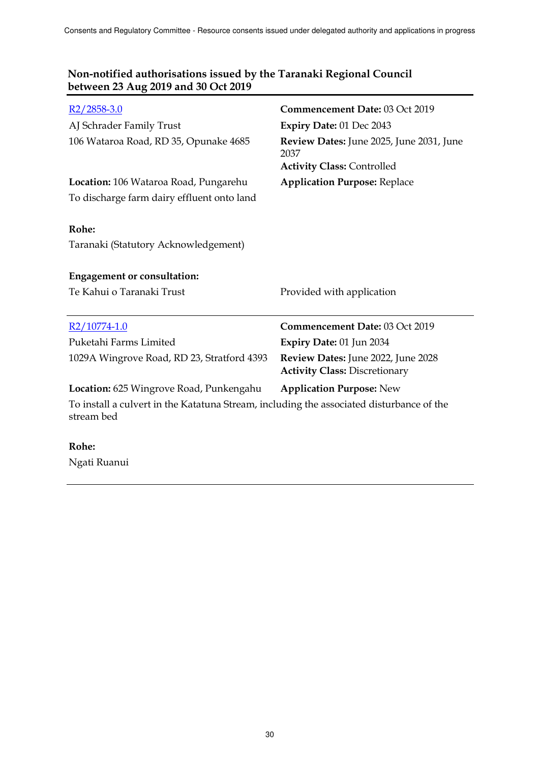| $R2/2858-3.0$                                                                                          | Commencement Date: 03 Oct 2019                                                        |
|--------------------------------------------------------------------------------------------------------|---------------------------------------------------------------------------------------|
| AJ Schrader Family Trust                                                                               | Expiry Date: 01 Dec 2043                                                              |
| 106 Wataroa Road, RD 35, Opunake 4685                                                                  | Review Dates: June 2025, June 2031, June<br>2037<br><b>Activity Class: Controlled</b> |
| Location: 106 Wataroa Road, Pungarehu                                                                  | <b>Application Purpose: Replace</b>                                                   |
| To discharge farm dairy effluent onto land                                                             |                                                                                       |
| Rohe:<br>Taranaki (Statutory Acknowledgement)                                                          |                                                                                       |
| <b>Engagement or consultation:</b>                                                                     |                                                                                       |
| Te Kahui o Taranaki Trust                                                                              | Provided with application                                                             |
|                                                                                                        |                                                                                       |
| R <sub>2</sub> /10774-1.0                                                                              | Commencement Date: 03 Oct 2019                                                        |
| Puketahi Farms Limited                                                                                 | Expiry Date: 01 Jun 2034                                                              |
| 1029A Wingrove Road, RD 23, Stratford 4393                                                             | Review Dates: June 2022, June 2028<br><b>Activity Class: Discretionary</b>            |
| Location: 625 Wingrove Road, Punkengahu                                                                | <b>Application Purpose: New</b>                                                       |
| To install a culvert in the Katatuna Stream, including the associated disturbance of the<br>stream bed |                                                                                       |
| Rohe <sup>.</sup>                                                                                      |                                                                                       |

#### **Rohe:**

Ngati Ruanui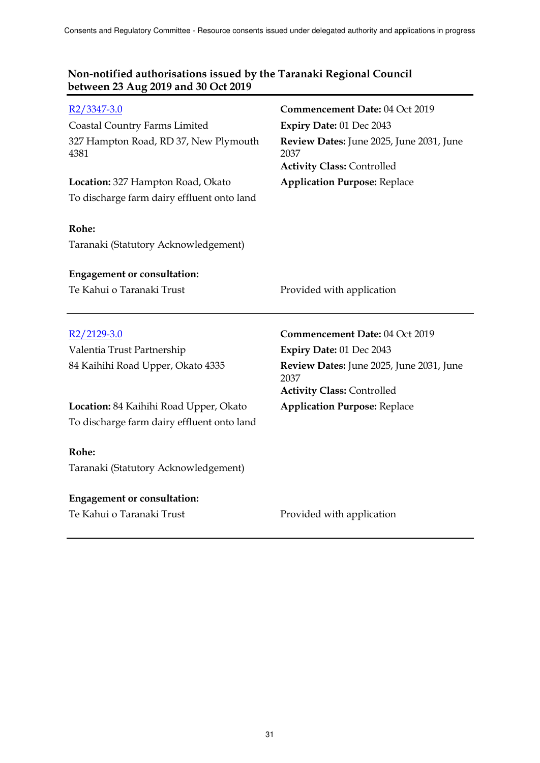| $R2/3347-3.0$                                 | Commencement Date: 04 Oct 2019                                                        |
|-----------------------------------------------|---------------------------------------------------------------------------------------|
| <b>Coastal Country Farms Limited</b>          | Expiry Date: 01 Dec 2043                                                              |
| 327 Hampton Road, RD 37, New Plymouth<br>4381 | Review Dates: June 2025, June 2031, June<br>2037<br><b>Activity Class: Controlled</b> |
| Location: 327 Hampton Road, Okato             | <b>Application Purpose: Replace</b>                                                   |
| To discharge farm dairy effluent onto land    |                                                                                       |
|                                               |                                                                                       |
| Rohe:                                         |                                                                                       |
| Taranaki (Statutory Acknowledgement)          |                                                                                       |
|                                               |                                                                                       |
| <b>Engagement or consultation:</b>            |                                                                                       |
| Te Kahui o Taranaki Trust                     | Provided with application                                                             |
|                                               |                                                                                       |
|                                               |                                                                                       |
| $R2/2129-3.0$                                 | Commencement Date: 04 Oct 2019                                                        |
| Valentia Trust Partnership                    | Expiry Date: 01 Dec 2043                                                              |
| 84 Kaihihi Road Upper, Okato 4335             | Review Dates: June 2025, June 2031, June<br>2037                                      |
|                                               | <b>Activity Class: Controlled</b>                                                     |
| Location: 84 Kaihihi Road Upper, Okato        | <b>Application Purpose: Replace</b>                                                   |
| To discharge farm dairy effluent onto land    |                                                                                       |
|                                               |                                                                                       |
| Rohe:                                         |                                                                                       |
| Taranaki (Statutory Acknowledgement)          |                                                                                       |
| <b>Engagement or consultation:</b>            |                                                                                       |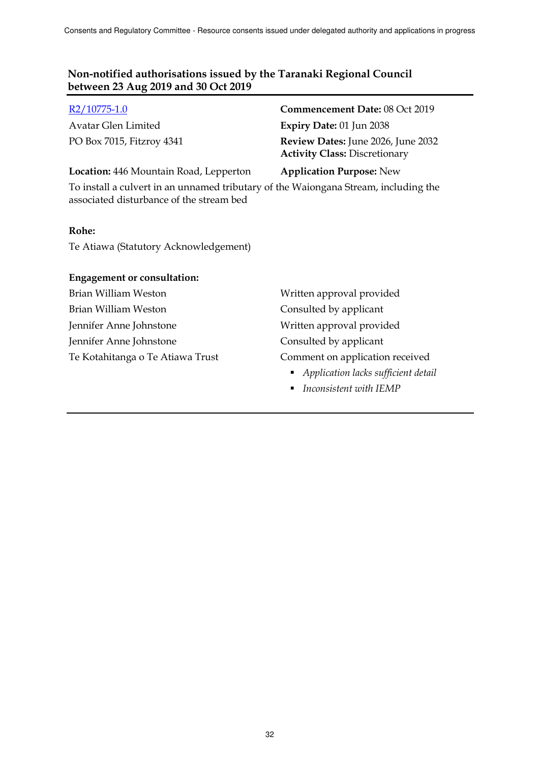Avatar Glen Limited **Expiry Date:** 01 Jun 2038

R2/10775-1.0 **Commencement Date:** 08 Oct 2019 PO Box 7015, Fitzroy 4341 **Review Dates:** June 2026, June 2032 **Activity Class:** Discretionary

### **Location:** 446 Mountain Road, Lepperton **Application Purpose:** New

To install a culvert in an unnamed tributary of the Waiongana Stream, including the associated disturbance of the stream bed

#### **Rohe:**

Te Atiawa (Statutory Acknowledgement)

#### **Engagement or consultation:**

- Brian William Weston Weston Written approval provided Brian William Weston Consulted by applicant Jennifer Anne Johnstone Written approval provided Jennifer Anne Johnstone Consulted by applicant
- Te Kotahitanga o Te Atiawa Trust Comment on application received
	- *Application lacks sufficient detail*
	- *Inconsistent with IEMP*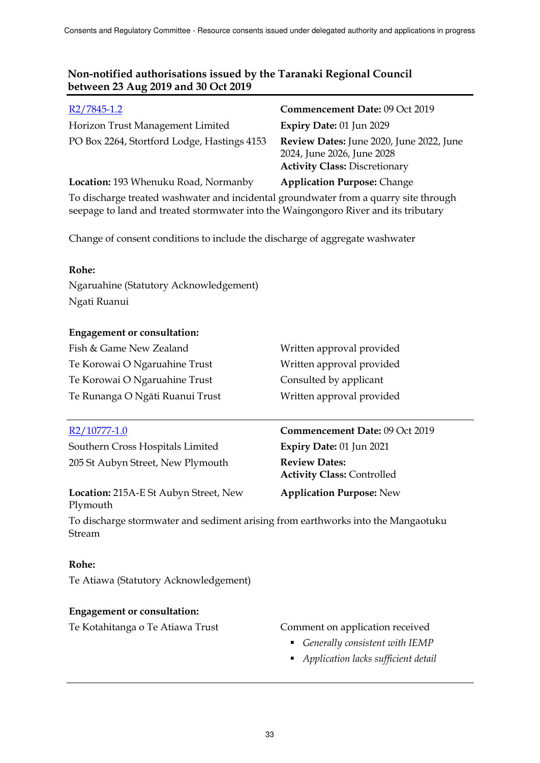| R2/7845-1.2                                                                                                                                                                 | Commencement Date: 09 Oct 2019                                                                                 |
|-----------------------------------------------------------------------------------------------------------------------------------------------------------------------------|----------------------------------------------------------------------------------------------------------------|
| Horizon Trust Management Limited                                                                                                                                            | Expiry Date: 01 Jun 2029                                                                                       |
| PO Box 2264, Stortford Lodge, Hastings 4153                                                                                                                                 | Review Dates: June 2020, June 2022, June<br>2024, June 2026, June 2028<br><b>Activity Class: Discretionary</b> |
| Location: 193 Whenuku Road, Normanby                                                                                                                                        | <b>Application Purpose: Change</b>                                                                             |
| To discharge treated washwater and incidental groundwater from a quarry site through<br>seepage to land and treated stormwater into the Waingongoro River and its tributary |                                                                                                                |

Change of consent conditions to include the discharge of aggregate washwater

### **Rohe:**

Ngaruahine (Statutory Acknowledgement) Ngati Ruanui

### **Engagement or consultation:**

Fish & Game New Zealand Written approval provided Te Korowai O Ngaruahine Trust Written approval provided Te Korowai O Ngaruahine Trust Consulted by applicant Te Runanga O Ngāti Ruanui Trust Written approval provided

Southern Cross Hospitals Limited **Expiry Date:** 01 Jun 2021 205 St Aubyn Street, New Plymouth **Review Dates:**

**Location:** 215A-E St Aubyn Street, New Plymouth

# R2/10777-1.0 **Commencement Date:** 09 Oct 2019 **Activity Class:** Controlled

**Application Purpose:** New

To discharge stormwater and sediment arising from earthworks into the Mangaotuku Stream

# **Rohe:**

Te Atiawa (Statutory Acknowledgement)

# **Engagement or consultation:**

Te Kotahitanga o Te Atiawa Trust Comment on application received

- - *Generally consistent with IEMP*
	- *Application lacks sufficient detail*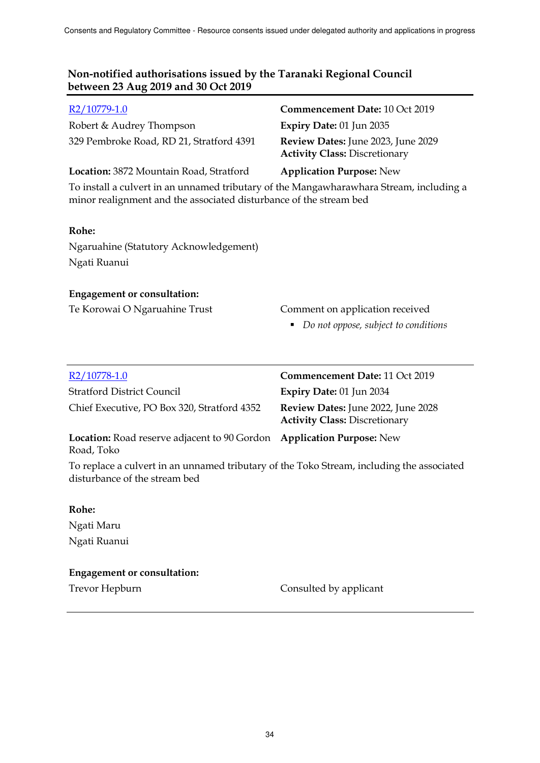| R <sub>2</sub> /10779-1.0                                                                                                                                     | Commencement Date: 10 Oct 2019                                             |
|---------------------------------------------------------------------------------------------------------------------------------------------------------------|----------------------------------------------------------------------------|
| Robert & Audrey Thompson                                                                                                                                      | Expiry Date: 01 Jun 2035                                                   |
| 329 Pembroke Road, RD 21, Stratford 4391                                                                                                                      | Review Dates: June 2023, June 2029<br><b>Activity Class: Discretionary</b> |
| Location: 3872 Mountain Road, Stratford                                                                                                                       | <b>Application Purpose: New</b>                                            |
| To install a culvert in an unnamed tributary of the Mangawharawhara Stream, including a<br>minor realignment and the associated disturbance of the stream bed |                                                                            |
| Rohe:                                                                                                                                                         |                                                                            |
| Ngaruahine (Statutory Acknowledgement)                                                                                                                        |                                                                            |
| Ngati Ruanui                                                                                                                                                  |                                                                            |
| <b>Engagement or consultation:</b>                                                                                                                            |                                                                            |
| Te Korowai O Ngaruahine Trust                                                                                                                                 | Comment on application received                                            |
|                                                                                                                                                               | Do not oppose, subject to conditions<br>п                                  |
|                                                                                                                                                               |                                                                            |
| R <sub>2</sub> /10778-1.0                                                                                                                                     | <b>Commencement Date: 11 Oct 2019</b>                                      |
| <b>Stratford District Council</b>                                                                                                                             | Expiry Date: 01 Jun 2034                                                   |
| Chief Executive, PO Box 320, Stratford 4352                                                                                                                   | Review Dates: June 2022, June 2028<br><b>Activity Class: Discretionary</b> |

**Location:** Road reserve adjacent to 90 Gordon **Application Purpose:** New Road, Toko

To replace a culvert in an unnamed tributary of the Toko Stream, including the associated disturbance of the stream bed

#### **Rohe:**

Ngati Maru Ngati Ruanui

#### **Engagement or consultation:**

Trevor Hepburn **Consulted** by applicant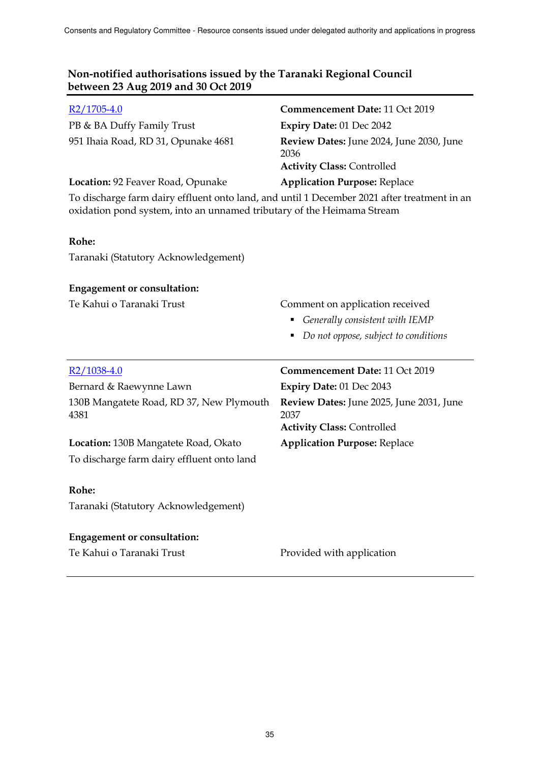| R <sub>2</sub> /1705-4.0                                                                                                                                              | Commencement Date: 11 Oct 2019                                                        |
|-----------------------------------------------------------------------------------------------------------------------------------------------------------------------|---------------------------------------------------------------------------------------|
| PB & BA Duffy Family Trust                                                                                                                                            | Expiry Date: 01 Dec 2042                                                              |
| 951 Ihaia Road, RD 31, Opunake 4681                                                                                                                                   | Review Dates: June 2024, June 2030, June<br>2036<br><b>Activity Class: Controlled</b> |
| Location: 92 Feaver Road, Opunake                                                                                                                                     | <b>Application Purpose: Replace</b>                                                   |
| To discharge farm dairy effluent onto land, and until 1 December 2021 after treatment in an<br>oxidation pond system, into an unnamed tributary of the Heimama Stream |                                                                                       |
| Rohe:                                                                                                                                                                 |                                                                                       |
| Taranaki (Statutory Acknowledgement)                                                                                                                                  |                                                                                       |
| <b>Engagement or consultation:</b>                                                                                                                                    |                                                                                       |
| Te Kahui o Taranaki Trust                                                                                                                                             | Comment on application received                                                       |
|                                                                                                                                                                       | Generally consistent with IEMP<br>Ξ                                                   |
|                                                                                                                                                                       | • Do not oppose, subject to conditions                                                |
|                                                                                                                                                                       |                                                                                       |
|                                                                                                                                                                       |                                                                                       |
| $R2/1038-4.0$                                                                                                                                                         | Commencement Date: 11 Oct 2019                                                        |
| Bernard & Raewynne Lawn                                                                                                                                               | Expiry Date: 01 Dec 2043                                                              |
| 130B Mangatete Road, RD 37, New Plymouth<br>4381                                                                                                                      | Review Dates: June 2025, June 2031, June<br>2037<br><b>Activity Class: Controlled</b> |
|                                                                                                                                                                       |                                                                                       |
| Location: 130B Mangatete Road, Okato<br>To discharge farm dairy effluent onto land                                                                                    | <b>Application Purpose: Replace</b>                                                   |
|                                                                                                                                                                       |                                                                                       |
| Rohe:                                                                                                                                                                 |                                                                                       |
| Taranaki (Statutory Acknowledgement)                                                                                                                                  |                                                                                       |
|                                                                                                                                                                       |                                                                                       |
| <b>Engagement or consultation:</b><br>Te Kahui o Taranaki Trust                                                                                                       | Provided with application                                                             |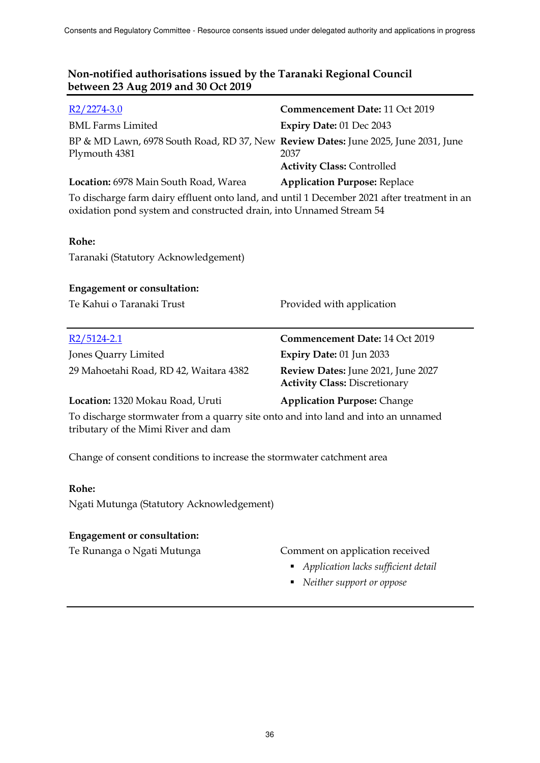| $R2/2274-3.0$                                                                                                                                                      | Commencement Date: 11 Oct 2019                                             |
|--------------------------------------------------------------------------------------------------------------------------------------------------------------------|----------------------------------------------------------------------------|
| <b>BML Farms Limited</b>                                                                                                                                           | Expiry Date: 01 Dec 2043                                                   |
| BP & MD Lawn, 6978 South Road, RD 37, New Review Dates: June 2025, June 2031, June<br>Plymouth 4381                                                                | 2037<br><b>Activity Class: Controlled</b>                                  |
| Location: 6978 Main South Road, Warea                                                                                                                              | <b>Application Purpose: Replace</b>                                        |
| To discharge farm dairy effluent onto land, and until 1 December 2021 after treatment in an<br>oxidation pond system and constructed drain, into Unnamed Stream 54 |                                                                            |
| Rohe:                                                                                                                                                              |                                                                            |
| Taranaki (Statutory Acknowledgement)                                                                                                                               |                                                                            |
| <b>Engagement or consultation:</b>                                                                                                                                 |                                                                            |
| Te Kahui o Taranaki Trust                                                                                                                                          | Provided with application                                                  |
| R2/5124-2.1                                                                                                                                                        | Commencement Date: 14 Oct 2019                                             |
| Jones Quarry Limited                                                                                                                                               | Expiry Date: 01 Jun 2033                                                   |
| 29 Mahoetahi Road, RD 42, Waitara 4382                                                                                                                             | Review Dates: June 2021, June 2027<br><b>Activity Class: Discretionary</b> |
| Location: 1320 Mokau Road, Uruti                                                                                                                                   | <b>Application Purpose: Change</b>                                         |
| To discharge stormwater from a quarry site onto and into land and into an unnamed<br>tributary of the Mimi River and dam                                           |                                                                            |
| Change of consent conditions to increase the stormwater catchment area                                                                                             |                                                                            |

#### **Rohe:**

Ngati Mutunga (Statutory Acknowledgement)

## **Engagement or consultation:**

# Te Runanga o Ngati Mutunga Comment on application received

- *Application lacks sufficient detail*
- *Neither support or oppose*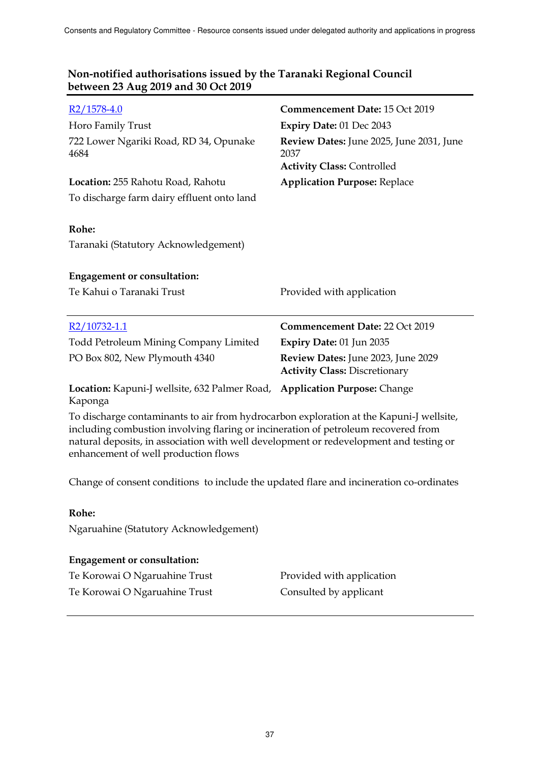| $R2/1578-4.0$                                                                           | Commencement Date: 15 Oct 2019                                                        |
|-----------------------------------------------------------------------------------------|---------------------------------------------------------------------------------------|
| Horo Family Trust                                                                       | Expiry Date: 01 Dec 2043                                                              |
| 722 Lower Ngariki Road, RD 34, Opunake<br>4684                                          | Review Dates: June 2025, June 2031, June<br>2037<br><b>Activity Class: Controlled</b> |
| Location: 255 Rahotu Road, Rahotu                                                       | <b>Application Purpose: Replace</b>                                                   |
| To discharge farm dairy effluent onto land                                              |                                                                                       |
|                                                                                         |                                                                                       |
| Rohe:                                                                                   |                                                                                       |
| Taranaki (Statutory Acknowledgement)                                                    |                                                                                       |
|                                                                                         |                                                                                       |
| <b>Engagement or consultation:</b>                                                      |                                                                                       |
| Te Kahui o Taranaki Trust                                                               | Provided with application                                                             |
|                                                                                         |                                                                                       |
| $R2/10732-1.1$                                                                          | <b>Commencement Date: 22 Oct 2019</b>                                                 |
| Todd Petroleum Mining Company Limited                                                   | Expiry Date: 01 Jun 2035                                                              |
| PO Box 802, New Plymouth 4340                                                           | Review Dates: June 2023, June 2029<br><b>Activity Class: Discretionary</b>            |
| Location: Kapuni-J wellsite, 632 Palmer Road,<br>Kaponga                                | <b>Application Purpose: Change</b>                                                    |
| To discharge contaminants to air from hydrocarbon exploration at the Kapuni-J wellsite, |                                                                                       |

including combustion involving flaring or incineration of petroleum recovered from natural deposits, in association with well development or redevelopment and testing or enhancement of well production flows

Change of consent conditions to include the updated flare and incineration co-ordinates

#### **Rohe:**

Ngaruahine (Statutory Acknowledgement)

#### **Engagement or consultation:**

Te Korowai O Ngaruahine Trust Provided with application Te Korowai O Ngaruahine Trust Consulted by applicant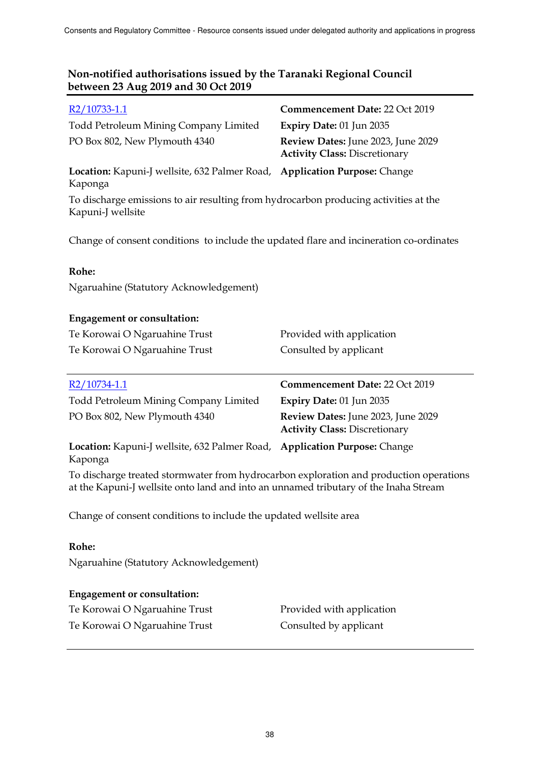| R2/10733-1.1                                                                                              | Commencement Date: 22 Oct 2019                                             |
|-----------------------------------------------------------------------------------------------------------|----------------------------------------------------------------------------|
| Todd Petroleum Mining Company Limited                                                                     | Expiry Date: 01 Jun 2035                                                   |
| PO Box 802, New Plymouth 4340                                                                             | Review Dates: June 2023, June 2029<br><b>Activity Class: Discretionary</b> |
| Location: Kapuni-J wellsite, 632 Palmer Road, Application Purpose: Change<br>Kaponga                      |                                                                            |
| To discharge emissions to air resulting from hydrocarbon producing activities at the<br>Kapuni-J wellsite |                                                                            |

Change of consent conditions to include the updated flare and incineration co-ordinates

### **Rohe:**

Ngaruahine (Statutory Acknowledgement)

#### **Engagement or consultation:**

| Te Korowai O Ngaruahine Trust | Provided with application |
|-------------------------------|---------------------------|
| Te Korowai O Ngaruahine Trust | Consulted by applicant    |
|                               |                           |

| R2/10734-1.1                                                                         | Commencement Date: 22 Oct 2019                                             |
|--------------------------------------------------------------------------------------|----------------------------------------------------------------------------|
| <b>Todd Petroleum Mining Company Limited</b>                                         | Expiry Date: 01 Jun 2035                                                   |
| PO Box 802, New Plymouth 4340                                                        | Review Dates: June 2023, June 2029<br><b>Activity Class: Discretionary</b> |
| Location: Kapuni-J wellsite, 632 Palmer Road, Application Purpose: Change<br>Kaponga |                                                                            |

To discharge treated stormwater from hydrocarbon exploration and production operations at the Kapuni-J wellsite onto land and into an unnamed tributary of the Inaha Stream

Change of consent conditions to include the updated wellsite area

#### **Rohe:**

Ngaruahine (Statutory Acknowledgement)

# **Engagement or consultation:**

| Te Korowai O Ngaruahine Trust |  |
|-------------------------------|--|
| Te Korowai O Ngaruahine Trust |  |

Provided with application Consulted by applicant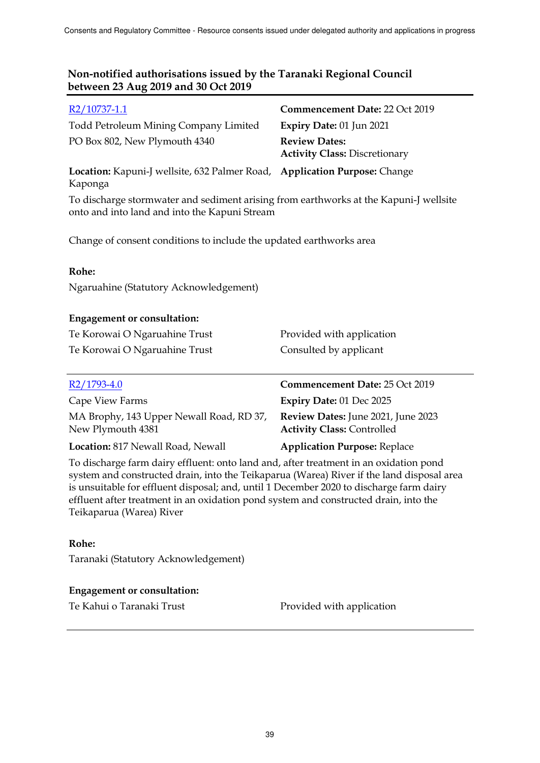| R2/10737-1.1                                                                                                                           | <b>Commencement Date: 22 Oct 2019</b>                        |
|----------------------------------------------------------------------------------------------------------------------------------------|--------------------------------------------------------------|
| Todd Petroleum Mining Company Limited                                                                                                  | <b>Expiry Date: 01 Jun 2021</b>                              |
| PO Box 802, New Plymouth 4340                                                                                                          | <b>Review Dates:</b><br><b>Activity Class: Discretionary</b> |
| Location: Kapuni-J wellsite, 632 Palmer Road, Application Purpose: Change<br>Kaponga                                                   |                                                              |
| To discharge stormwater and sediment arising from earthworks at the Kapuni-J wellsite<br>onto and into land and into the Kapuni Stream |                                                              |
| Change of consent conditions to include the updated earthworks area                                                                    |                                                              |
| Rohe:                                                                                                                                  |                                                              |
|                                                                                                                                        |                                                              |

Ngaruahine (Statutory Acknowledgement)

#### **Engagement or consultation:**

| Te Korowai O Ngaruahine Trust | Provided with application |
|-------------------------------|---------------------------|
| Te Korowai O Ngaruahine Trust | Consulted by applicant    |

| $R2/1793-4.0$                                                 | Commencement Date: 25 Oct 2019                                          |
|---------------------------------------------------------------|-------------------------------------------------------------------------|
| Cape View Farms                                               | Expiry Date: 01 Dec 2025                                                |
| MA Brophy, 143 Upper Newall Road, RD 37,<br>New Plymouth 4381 | Review Dates: June 2021, June 2023<br><b>Activity Class: Controlled</b> |
| Location: 817 Newall Road, Newall                             | <b>Application Purpose: Replace</b>                                     |

To discharge farm dairy effluent: onto land and, after treatment in an oxidation pond system and constructed drain, into the Teikaparua (Warea) River if the land disposal area is unsuitable for effluent disposal; and, until 1 December 2020 to discharge farm dairy effluent after treatment in an oxidation pond system and constructed drain, into the Teikaparua (Warea) River

#### **Rohe:**

Taranaki (Statutory Acknowledgement)

# **Engagement or consultation:**

Te Kahui o Taranaki Trust **Provided with application**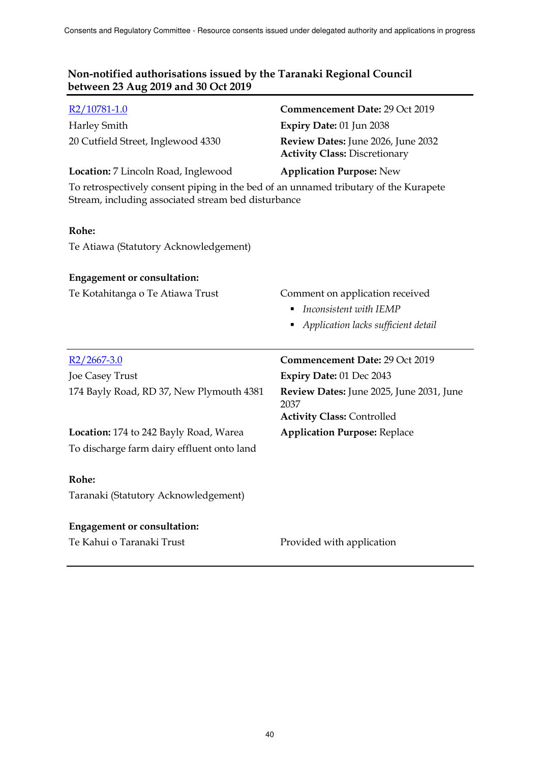| R2/10781-1.0<br><b>Harley Smith</b><br>20 Cutfield Street, Inglewood 4330<br>Location: 7 Lincoln Road, Inglewood                            | Commencement Date: 29 Oct 2019<br>Expiry Date: 01 Jun 2038<br><b>Review Dates:</b> June 2026, June 2032<br><b>Activity Class: Discretionary</b><br><b>Application Purpose: New</b> |
|---------------------------------------------------------------------------------------------------------------------------------------------|------------------------------------------------------------------------------------------------------------------------------------------------------------------------------------|
| To retrospectively consent piping in the bed of an unnamed tributary of the Kurapete<br>Stream, including associated stream bed disturbance |                                                                                                                                                                                    |
| Rohe:                                                                                                                                       |                                                                                                                                                                                    |
| Te Atiawa (Statutory Acknowledgement)                                                                                                       |                                                                                                                                                                                    |
| <b>Engagement or consultation:</b>                                                                                                          |                                                                                                                                                                                    |
| Te Kotahitanga o Te Atiawa Trust                                                                                                            | Comment on application received<br>Inconsistent with IEMP<br>Application lacks sufficient detail                                                                                   |
|                                                                                                                                             |                                                                                                                                                                                    |
| $R2/2667-3.0$                                                                                                                               | Commencement Date: 29 Oct 2019                                                                                                                                                     |
| Joe Casey Trust                                                                                                                             | Expiry Date: 01 Dec 2043                                                                                                                                                           |
| 174 Bayly Road, RD 37, New Plymouth 4381                                                                                                    | Review Dates: June 2025, June 2031, June<br>2037<br><b>Activity Class: Controlled</b>                                                                                              |
| Location: 174 to 242 Bayly Road, Warea                                                                                                      | <b>Application Purpose: Replace</b>                                                                                                                                                |
| To discharge farm dairy effluent onto land                                                                                                  |                                                                                                                                                                                    |
| Rohe:                                                                                                                                       |                                                                                                                                                                                    |
| Taranaki (Statutory Acknowledgement)                                                                                                        |                                                                                                                                                                                    |
| <b>Engagement or consultation:</b><br>Te Kahui o Taranaki Trust                                                                             | Provided with application                                                                                                                                                          |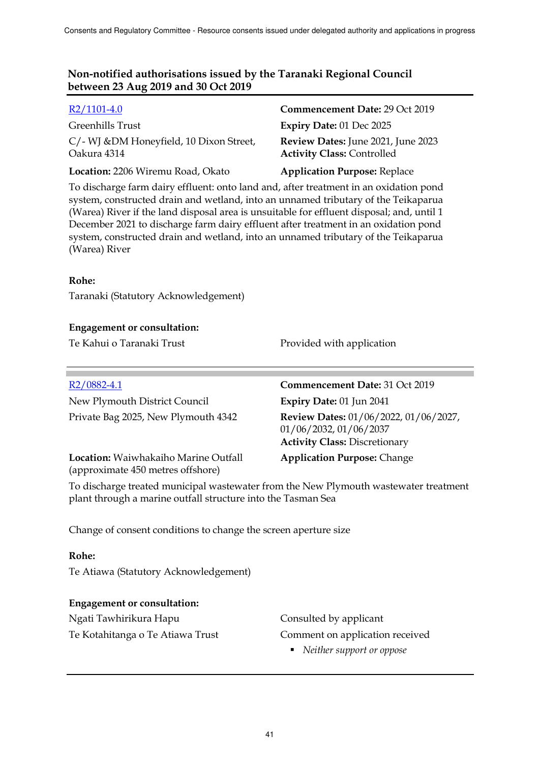| $R2/1101-4.0$                                           | Commencement Date: 29 Oct 2019                                          |
|---------------------------------------------------------|-------------------------------------------------------------------------|
| Greenhills Trust                                        | Expiry Date: 01 Dec 2025                                                |
| C/- WJ & DM Honeyfield, 10 Dixon Street,<br>Oakura 4314 | Review Dates: June 2021, June 2023<br><b>Activity Class: Controlled</b> |
| Location: 2206 Wiremu Road, Okato                       | <b>Application Purpose: Replace</b>                                     |

To discharge farm dairy effluent: onto land and, after treatment in an oxidation pond system, constructed drain and wetland, into an unnamed tributary of the Teikaparua (Warea) River if the land disposal area is unsuitable for effluent disposal; and, until 1 December 2021 to discharge farm dairy effluent after treatment in an oxidation pond system, constructed drain and wetland, into an unnamed tributary of the Teikaparua (Warea) River

#### **Rohe:**

Taranaki (Statutory Acknowledgement)

#### **Engagement or consultation:**

Te Kahui o Taranaki Trust **Provided with application** 

| $R2/0882-4.1$                                                             | Commencement Date: 31 Oct 2019                                                                          |
|---------------------------------------------------------------------------|---------------------------------------------------------------------------------------------------------|
| New Plymouth District Council                                             | Expiry Date: 01 Jun 2041                                                                                |
| Private Bag 2025, New Plymouth 4342                                       | Review Dates: 01/06/2022, 01/06/2027,<br>01/06/2032, 01/06/2037<br><b>Activity Class: Discretionary</b> |
| Location: Waiwhakaiho Marine Outfall<br>(approximate 450 metres offshore) | <b>Application Purpose: Change</b>                                                                      |

To discharge treated municipal wastewater from the New Plymouth wastewater treatment plant through a marine outfall structure into the Tasman Sea

Change of consent conditions to change the screen aperture size

#### **Rohe:**

Te Atiawa (Statutory Acknowledgement)

#### **Engagement or consultation:**

Ngati Tawhirikura Hapu Consulted by applicant

Te Kotahitanga o Te Atiawa Trust Comment on application received

*Neither support or oppose*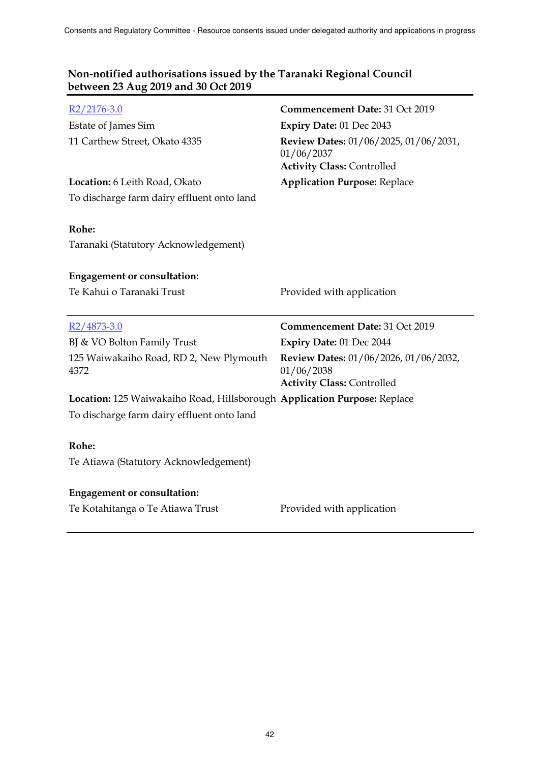| $R2/2176-3.0$                                                            | Commencement Date: 31 Oct 2019                                                           |
|--------------------------------------------------------------------------|------------------------------------------------------------------------------------------|
| Estate of James Sim                                                      | Expiry Date: 01 Dec 2043                                                                 |
| 11 Carthew Street, Okato 4335                                            | Review Dates: 01/06/2025, 01/06/2031,<br>01/06/2037<br><b>Activity Class: Controlled</b> |
| Location: 6 Leith Road, Okato                                            | <b>Application Purpose: Replace</b>                                                      |
| To discharge farm dairy effluent onto land                               |                                                                                          |
| Rohe:<br>Taranaki (Statutory Acknowledgement)                            |                                                                                          |
| <b>Engagement or consultation:</b>                                       |                                                                                          |
| Te Kahui o Taranaki Trust                                                | Provided with application                                                                |
|                                                                          |                                                                                          |
|                                                                          |                                                                                          |
| R2/4873-3.0                                                              | Commencement Date: 31 Oct 2019                                                           |
| BJ & VO Bolton Family Trust                                              | Expiry Date: 01 Dec 2044                                                                 |
| 125 Waiwakaiho Road, RD 2, New Plymouth<br>4372                          | Review Dates: 01/06/2026, 01/06/2032,<br>01/06/2038                                      |
| Location: 125 Waiwakaiho Road, Hillsborough Application Purpose: Replace | <b>Activity Class: Controlled</b>                                                        |
| To discharge farm dairy effluent onto land                               |                                                                                          |
|                                                                          |                                                                                          |
| Rohe:                                                                    |                                                                                          |
| Te Atiawa (Statutory Acknowledgement)                                    |                                                                                          |
|                                                                          |                                                                                          |
| <b>Engagement or consultation:</b><br>Te Kotahitanga o Te Atiawa Trust   | Provided with application                                                                |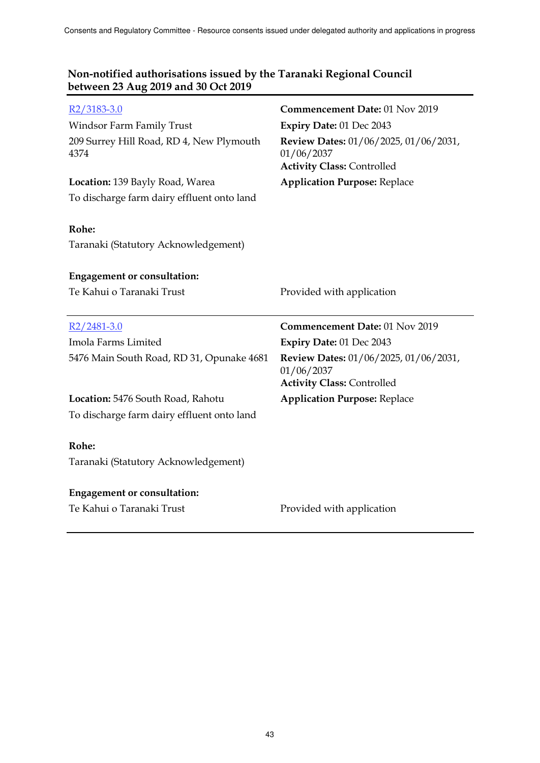| R2/3183-3.0<br>Windsor Farm Family Trust<br>209 Surrey Hill Road, RD 4, New Plymouth<br>4374<br>Location: 139 Bayly Road, Warea | Commencement Date: 01 Nov 2019<br>Expiry Date: 01 Dec 2043<br>Review Dates: 01/06/2025, 01/06/2031,<br>01/06/2037<br><b>Activity Class: Controlled</b><br><b>Application Purpose: Replace</b> |
|---------------------------------------------------------------------------------------------------------------------------------|-----------------------------------------------------------------------------------------------------------------------------------------------------------------------------------------------|
| To discharge farm dairy effluent onto land<br>Rohe:<br>Taranaki (Statutory Acknowledgement)                                     |                                                                                                                                                                                               |
| <b>Engagement or consultation:</b>                                                                                              |                                                                                                                                                                                               |
| Te Kahui o Taranaki Trust                                                                                                       | Provided with application                                                                                                                                                                     |
|                                                                                                                                 |                                                                                                                                                                                               |
| $R2/2481-3.0$                                                                                                                   | Commencement Date: 01 Nov 2019                                                                                                                                                                |
| Imola Farms Limited                                                                                                             | Expiry Date: 01 Dec 2043                                                                                                                                                                      |
| 5476 Main South Road, RD 31, Opunake 4681                                                                                       | Review Dates: 01/06/2025, 01/06/2031,<br>01/06/2037<br><b>Activity Class: Controlled</b>                                                                                                      |
| Location: 5476 South Road, Rahotu                                                                                               | <b>Application Purpose: Replace</b>                                                                                                                                                           |
| To discharge farm dairy effluent onto land                                                                                      |                                                                                                                                                                                               |
| Rohe:                                                                                                                           |                                                                                                                                                                                               |
| Taranaki (Statutory Acknowledgement)                                                                                            |                                                                                                                                                                                               |
| <b>Engagement or consultation:</b>                                                                                              |                                                                                                                                                                                               |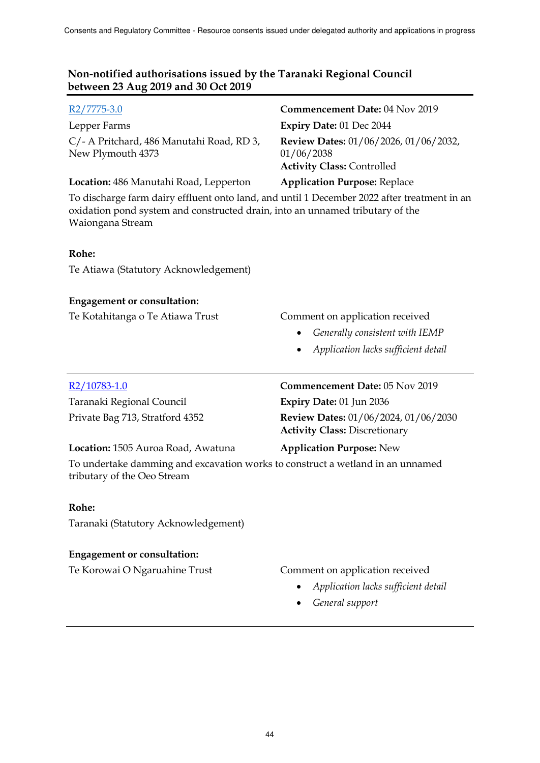| $R2/7775-3.0$                                                                                                                                                                                    | Commencement Date: 04 Nov 2019                                                                                                     |  |
|--------------------------------------------------------------------------------------------------------------------------------------------------------------------------------------------------|------------------------------------------------------------------------------------------------------------------------------------|--|
| Lepper Farms                                                                                                                                                                                     | <b>Expiry Date: 01 Dec 2044</b>                                                                                                    |  |
| C/- A Pritchard, 486 Manutahi Road, RD 3,<br>New Plymouth 4373                                                                                                                                   | <b>Review Dates: 01/06/2026, 01/06/2032,</b><br>01/06/2038<br><b>Activity Class: Controlled</b>                                    |  |
| Location: 486 Manutahi Road, Lepperton                                                                                                                                                           | <b>Application Purpose: Replace</b>                                                                                                |  |
| To discharge farm dairy effluent onto land, and until 1 December 2022 after treatment in an<br>oxidation pond system and constructed drain, into an unnamed tributary of the<br>Waiongana Stream |                                                                                                                                    |  |
| Rohe:                                                                                                                                                                                            |                                                                                                                                    |  |
| Te Atiawa (Statutory Acknowledgement)                                                                                                                                                            |                                                                                                                                    |  |
| <b>Engagement or consultation:</b>                                                                                                                                                               |                                                                                                                                    |  |
| Te Kotahitanga o Te Atiawa Trust                                                                                                                                                                 | Comment on application received<br>Generally consistent with IEMP<br>$\bullet$<br>Application lacks sufficient detail<br>$\bullet$ |  |
| R2/10783-1.0                                                                                                                                                                                     | Commencement Date: 05 Nov 2019                                                                                                     |  |
| Taranaki Regional Council                                                                                                                                                                        | Expiry Date: 01 Jun 2036                                                                                                           |  |
| Private Bag 713, Stratford 4352                                                                                                                                                                  | <b>Review Dates: 01/06/2024, 01/06/2030</b><br><b>Activity Class: Discretionary</b>                                                |  |
| Location: 1505 Auroa Road, Awatuna                                                                                                                                                               | <b>Application Purpose: New</b>                                                                                                    |  |
| To undertake damming and excavation works to construct a wetland in an unnamed<br>tributary of the Oeo Stream                                                                                    |                                                                                                                                    |  |
| Rohe:                                                                                                                                                                                            |                                                                                                                                    |  |
| Taranaki (Statutory Acknowledgement)                                                                                                                                                             |                                                                                                                                    |  |
| <b>Engagement or consultation:</b>                                                                                                                                                               |                                                                                                                                    |  |
| Te Korowai O Ngaruahine Trust                                                                                                                                                                    | Comment on application received                                                                                                    |  |

- *Application lacks sufficient detail* 
	- *General support*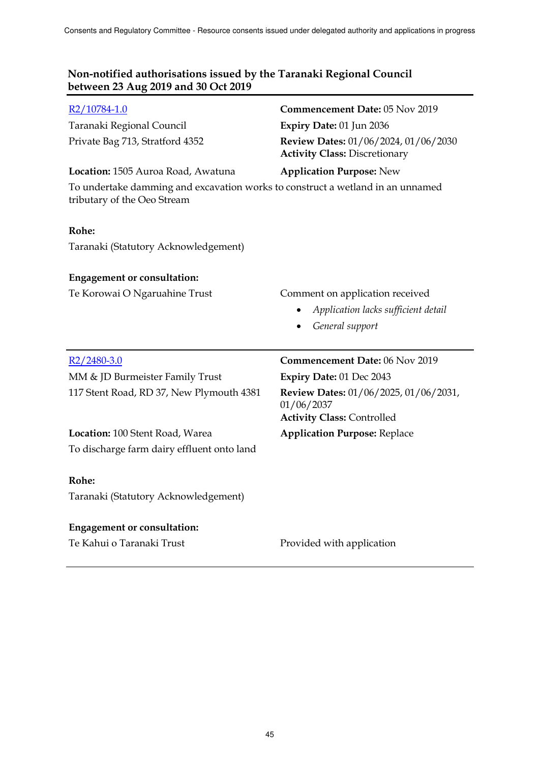| R <sub>2</sub> /10784-1.0<br>Taranaki Regional Council<br>Private Bag 713, Stratford 4352<br>Location: 1505 Auroa Road, Awatuna<br>To undertake damming and excavation works to construct a wetland in an unnamed | Commencement Date: 05 Nov 2019<br>Expiry Date: 01 Jun 2036<br><b>Review Dates:</b> 01/06/2024, 01/06/2030<br><b>Activity Class: Discretionary</b><br><b>Application Purpose: New</b> |
|-------------------------------------------------------------------------------------------------------------------------------------------------------------------------------------------------------------------|--------------------------------------------------------------------------------------------------------------------------------------------------------------------------------------|
| tributary of the Oeo Stream<br>Rohe:                                                                                                                                                                              |                                                                                                                                                                                      |
| Taranaki (Statutory Acknowledgement)                                                                                                                                                                              |                                                                                                                                                                                      |
| <b>Engagement or consultation:</b>                                                                                                                                                                                |                                                                                                                                                                                      |
| Te Korowai O Ngaruahine Trust                                                                                                                                                                                     | Comment on application received                                                                                                                                                      |
|                                                                                                                                                                                                                   | Application lacks sufficient detail                                                                                                                                                  |
|                                                                                                                                                                                                                   | General support                                                                                                                                                                      |
|                                                                                                                                                                                                                   |                                                                                                                                                                                      |
| $R2/2480-3.0$                                                                                                                                                                                                     | Commencement Date: 06 Nov 2019                                                                                                                                                       |
| MM & JD Burmeister Family Trust                                                                                                                                                                                   | <b>Expiry Date: 01 Dec 2043</b>                                                                                                                                                      |
| 117 Stent Road, RD 37, New Plymouth 4381                                                                                                                                                                          | Review Dates: 01/06/2025, 01/06/2031,<br>01/06/2037                                                                                                                                  |
| Location: 100 Stent Road, Warea                                                                                                                                                                                   | <b>Activity Class: Controlled</b>                                                                                                                                                    |
| To discharge farm dairy effluent onto land                                                                                                                                                                        | <b>Application Purpose: Replace</b>                                                                                                                                                  |
| Rohe:                                                                                                                                                                                                             |                                                                                                                                                                                      |
| Taranaki (Statutory Acknowledgement)                                                                                                                                                                              |                                                                                                                                                                                      |
| <b>Engagement or consultation:</b>                                                                                                                                                                                |                                                                                                                                                                                      |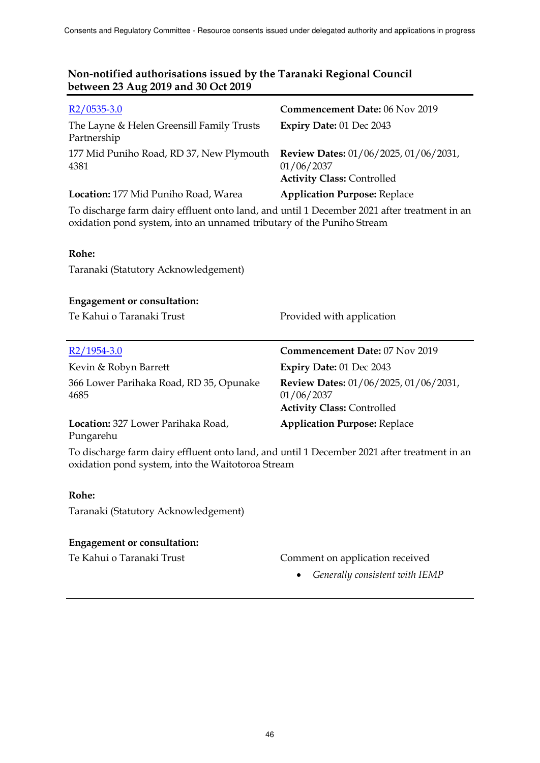| $R2/0535-3.0$                                                                                                                                                        | <b>Commencement Date: 06 Nov 2019</b>                                                    |  |
|----------------------------------------------------------------------------------------------------------------------------------------------------------------------|------------------------------------------------------------------------------------------|--|
| The Layne & Helen Greensill Family Trusts<br>Partnership                                                                                                             | Expiry Date: 01 Dec 2043                                                                 |  |
| 177 Mid Puniho Road, RD 37, New Plymouth<br>4381                                                                                                                     | Review Dates: 01/06/2025, 01/06/2031,<br>01/06/2037<br><b>Activity Class: Controlled</b> |  |
| Location: 177 Mid Puniho Road, Warea                                                                                                                                 | <b>Application Purpose: Replace</b>                                                      |  |
| To discharge farm dairy effluent onto land, and until 1 December 2021 after treatment in an<br>oxidation pond system, into an unnamed tributary of the Puniho Stream |                                                                                          |  |
| Rohe:                                                                                                                                                                |                                                                                          |  |
| Taranaki (Statutory Acknowledgement)                                                                                                                                 |                                                                                          |  |
| <b>Engagement or consultation:</b>                                                                                                                                   |                                                                                          |  |
| Te Kahui o Taranaki Trust                                                                                                                                            | Provided with application                                                                |  |
| R2/1954-3.0                                                                                                                                                          | Commencement Date: 07 Nov 2019                                                           |  |
| Kevin & Robyn Barrett                                                                                                                                                | Expiry Date: 01 Dec 2043                                                                 |  |
| 366 Lower Parihaka Road, RD 35, Opunake<br>4685                                                                                                                      | Review Dates: 01/06/2025, 01/06/2031,<br>01/06/2037<br><b>Activity Class: Controlled</b> |  |
| Location: 327 Lower Parihaka Road,<br>Pungarehu                                                                                                                      | <b>Application Purpose: Replace</b>                                                      |  |
| To discharge farm dairy effluent onto land, and until 1 December 2021 after treatment in an<br>oxidation pond system, into the Waitotoroa Stream                     |                                                                                          |  |

### **Rohe:**

Taranaki (Statutory Acknowledgement)

#### **Engagement or consultation:**

Te Kahui o Taranaki Trust Comment on application received

*Generally consistent with IEMP*